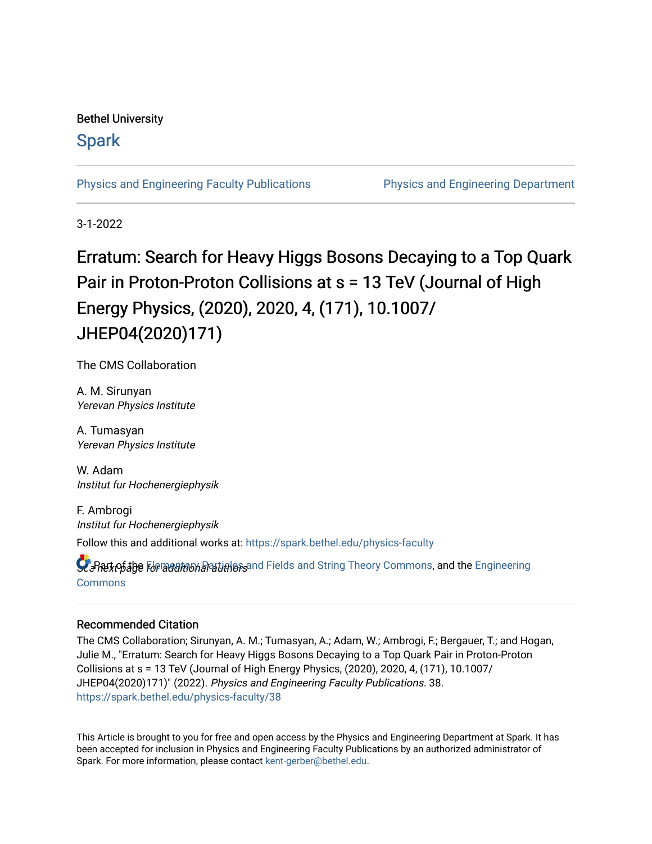# Bethel University

# **Spark**

[Physics and Engineering Faculty Publications](https://spark.bethel.edu/physics-faculty) [Physics and Engineering Department](https://spark.bethel.edu/physics) 

3-1-2022

# Erratum: Search for Heavy Higgs Bosons Decaying to a Top Quark Pair in Proton-Proton Collisions at s = 13 TeV (Journal of High Energy Physics, (2020), 2020, 4, (171), 10.1007/ JHEP04(2020)171)

The CMS Collaboration

A. M. Sirunyan Yerevan Physics Institute

A. Tumasyan Yerevan Physics Institute

W. Adam Institut fur Hochenergiephysik

F. Ambrogi Institut fur Hochenergiephysik

Follow this and additional works at: [https://spark.bethel.edu/physics-faculty](https://spark.bethel.edu/physics-faculty?utm_source=spark.bethel.edu%2Fphysics-faculty%2F38&utm_medium=PDF&utm_campaign=PDFCoverPages) 

See Prett of the Form and the Section Braticles and String Theory Commons, and the Engineering [Commons](http://network.bepress.com/hgg/discipline/217?utm_source=spark.bethel.edu%2Fphysics-faculty%2F38&utm_medium=PDF&utm_campaign=PDFCoverPages)

# Recommended Citation

The CMS Collaboration; Sirunyan, A. M.; Tumasyan, A.; Adam, W.; Ambrogi, F.; Bergauer, T.; and Hogan, Julie M., "Erratum: Search for Heavy Higgs Bosons Decaying to a Top Quark Pair in Proton-Proton Collisions at s = 13 TeV (Journal of High Energy Physics, (2020), 2020, 4, (171), 10.1007/ JHEP04(2020)171)" (2022). Physics and Engineering Faculty Publications. 38. [https://spark.bethel.edu/physics-faculty/38](https://spark.bethel.edu/physics-faculty/38?utm_source=spark.bethel.edu%2Fphysics-faculty%2F38&utm_medium=PDF&utm_campaign=PDFCoverPages)

This Article is brought to you for free and open access by the Physics and Engineering Department at Spark. It has been accepted for inclusion in Physics and Engineering Faculty Publications by an authorized administrator of Spark. For more information, please contact [kent-gerber@bethel.edu.](mailto:kent-gerber@bethel.edu)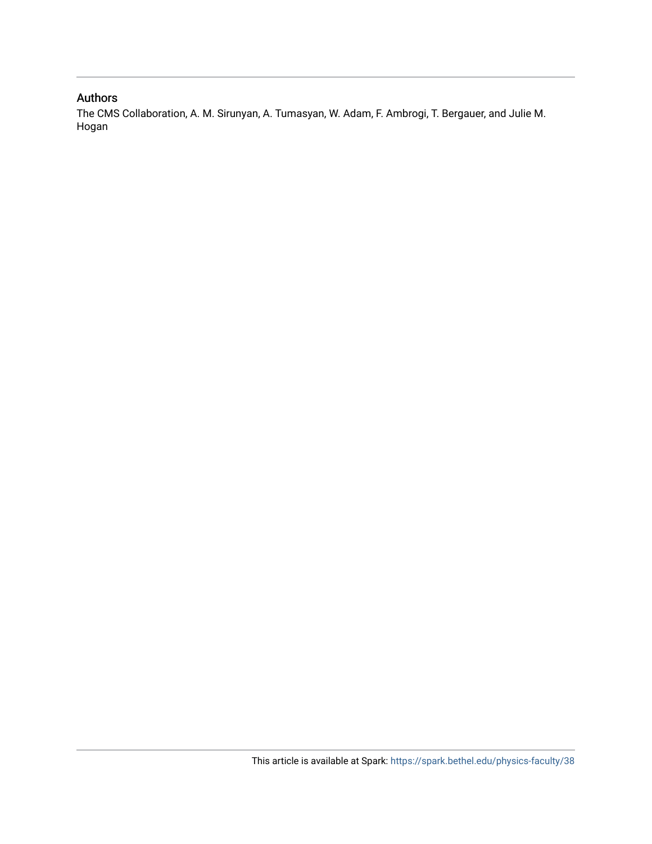# Authors

The CMS Collaboration, A. M. Sirunyan, A. Tumasyan, W. Adam, F. Ambrogi, T. Bergauer, and Julie M. Hogan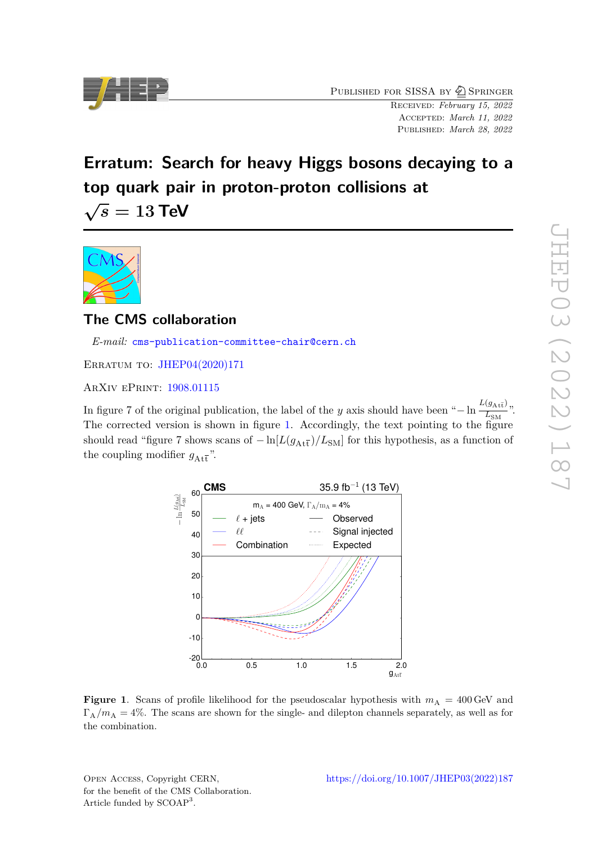PUBLISHED FOR SISSA BY 2 SPRINGER

Received: *February 15, 2022* Accepted: *March 11, 2022* Published: *March 28, 2022*

# **Erratum: Search for heavy Higgs bosons decaying to a top quark pair in proton-proton collisions at**  $\sqrt{s} = 13$  **TeV**



# **The CMS collaboration**

*E-mail:* [cms-publication-committee-chair@cern.ch](mailto:cms-publication-committee-chair@cern.ch)

ERRATUM TO: [JHEP04\(2020\)171](https://doi.org/10.1007/JHEP04(2020)171)

ArXiv ePrint: [1908.01115](https://arxiv.org/abs/1908.01115)

In figure 7 of the original publication, the label of the *y* axis should have been "− ln  $\frac{L(g_{\text{Att}})}{L_{\text{max}}}$  $\frac{L_{\rm SML}}{L_{\rm SM}}$ ". The corrected version is shown in figure [1.](#page-2-0) Accordingly, the text pointing to the figure should read "figure 7 shows scans of  $-\ln[L(g_{\text{At}\bar{t}})/L_{\text{SM}}]$  for this hypothesis, as a function of the coupling modifier  $g_{\text{At}^{\overline{\text{t}}}}$ ".



<span id="page-2-0"></span>**Figure 1.** Scans of profile likelihood for the pseudoscalar hypothesis with  $m_A = 400$  GeV and  $\Gamma_A/m_A = 4\%$ . The scans are shown for the single- and dilepton channels separately, as well as for the combination.

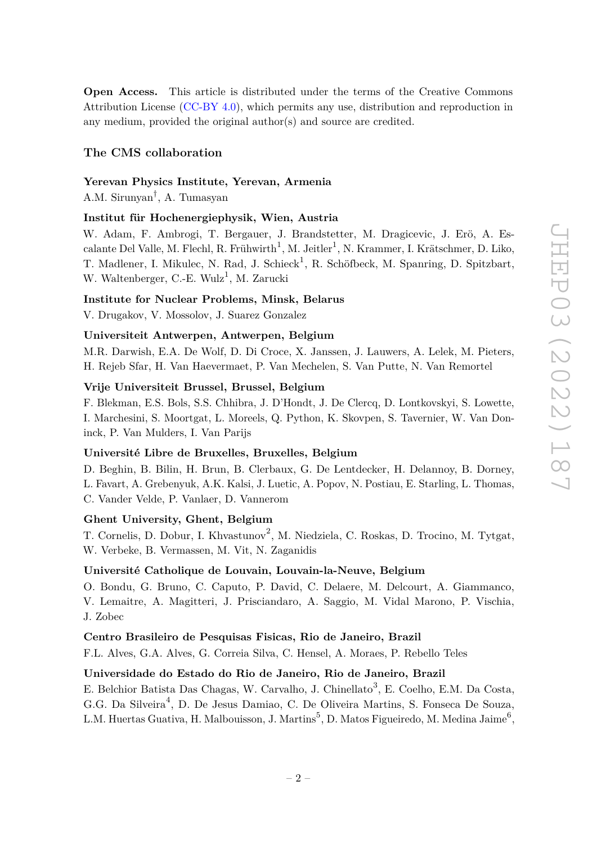**Open Access.** This article is distributed under the terms of the Creative Commons Attribution License [\(CC-BY 4.0\)](https://creativecommons.org/licenses/by/4.0/), which permits any use, distribution and reproduction in any medium, provided the original author(s) and source are credited.

### **The CMS collaboration**

# **Yerevan Physics Institute, Yerevan, Armenia**

A.M. Sirunyan† , A. Tumasyan

### **Institut für Hochenergiephysik, Wien, Austria**

W. Adam, F. Ambrogi, T. Bergauer, J. Brandstetter, M. Dragicevic, J. Erö, A. Escalante Del Valle, M. Flechl, R. Frühwirth $^1$ , M. Jeitler $^1$ , N. Krammer, I. Krätschmer, D. Liko, T. Madlener, I. Mikulec, N. Rad, J. Schieck<sup>1</sup>, R. Schöfbeck, M. Spanring, D. Spitzbart, W. Waltenberger, C.-E. Wulz<sup>1</sup>, M. Zarucki

#### **Institute for Nuclear Problems, Minsk, Belarus**

V. Drugakov, V. Mossolov, J. Suarez Gonzalez

### **Universiteit Antwerpen, Antwerpen, Belgium**

M.R. Darwish, E.A. De Wolf, D. Di Croce, X. Janssen, J. Lauwers, A. Lelek, M. Pieters, H. Rejeb Sfar, H. Van Haevermaet, P. Van Mechelen, S. Van Putte, N. Van Remortel

#### **Vrije Universiteit Brussel, Brussel, Belgium**

F. Blekman, E.S. Bols, S.S. Chhibra, J. D'Hondt, J. De Clercq, D. Lontkovskyi, S. Lowette, I. Marchesini, S. Moortgat, L. Moreels, Q. Python, K. Skovpen, S. Tavernier, W. Van Doninck, P. Van Mulders, I. Van Parijs

### **Université Libre de Bruxelles, Bruxelles, Belgium**

D. Beghin, B. Bilin, H. Brun, B. Clerbaux, G. De Lentdecker, H. Delannoy, B. Dorney, L. Favart, A. Grebenyuk, A.K. Kalsi, J. Luetic, A. Popov, N. Postiau, E. Starling, L. Thomas, C. Vander Velde, P. Vanlaer, D. Vannerom

### **Ghent University, Ghent, Belgium**

T. Cornelis, D. Dobur, I. Khvastunov<sup>2</sup>, M. Niedziela, C. Roskas, D. Trocino, M. Tytgat, W. Verbeke, B. Vermassen, M. Vit, N. Zaganidis

#### **Université Catholique de Louvain, Louvain-la-Neuve, Belgium**

O. Bondu, G. Bruno, C. Caputo, P. David, C. Delaere, M. Delcourt, A. Giammanco, V. Lemaitre, A. Magitteri, J. Prisciandaro, A. Saggio, M. Vidal Marono, P. Vischia, J. Zobec

#### **Centro Brasileiro de Pesquisas Fisicas, Rio de Janeiro, Brazil**

F.L. Alves, G.A. Alves, G. Correia Silva, C. Hensel, A. Moraes, P. Rebello Teles

### **Universidade do Estado do Rio de Janeiro, Rio de Janeiro, Brazil**

E. Belchior Batista Das Chagas, W. Carvalho, J. Chinellato<sup>3</sup>, E. Coelho, E.M. Da Costa, G.G. Da Silveira<sup>4</sup>, D. De Jesus Damiao, C. De Oliveira Martins, S. Fonseca De Souza, L.M. Huertas Guativa, H. Malbouisson, J. Martins<sup>5</sup>, D. Matos Figueiredo, M. Medina Jaime<sup>6</sup>,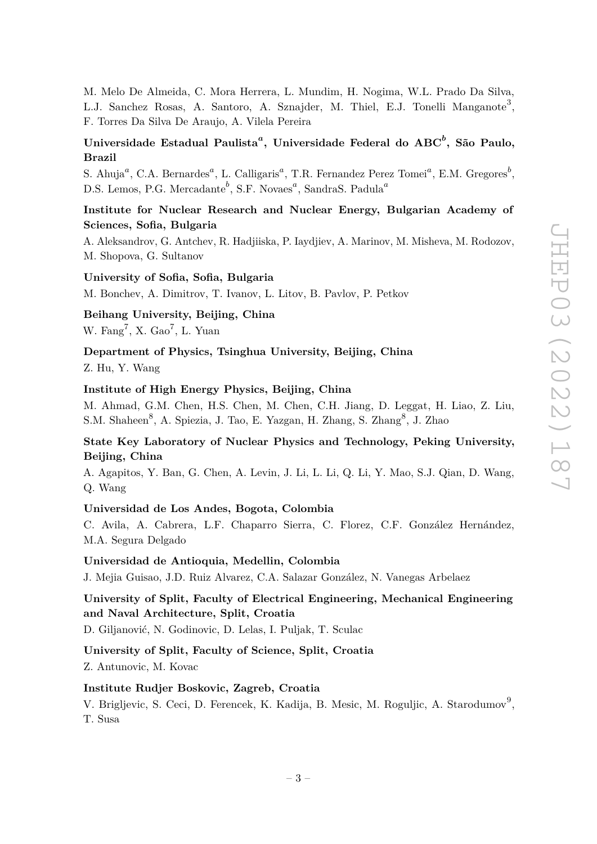M. Melo De Almeida, C. Mora Herrera, L. Mundim, H. Nogima, W.L. Prado Da Silva, L.J. Sanchez Rosas, A. Santoro, A. Sznajder, M. Thiel, E.J. Tonelli Manganote<sup>3</sup>, F. Torres Da Silva De Araujo, A. Vilela Pereira

# **Universidade Estadual Paulista***<sup>a</sup>* **, Universidade Federal do ABC***<sup>b</sup>* **, São Paulo, Brazil**

S. Ahuja<sup>a</sup>, C.A. Bernardes<sup>a</sup>, L. Calligaris<sup>a</sup>, T.R. Fernandez Perez Tomei<sup>a</sup>, E.M. Gregores<sup>b</sup>, D.S. Lemos, P.G. Mercadante*<sup>b</sup>* , S.F. Novaes*<sup>a</sup>* , SandraS. Padula*<sup>a</sup>*

# **Institute for Nuclear Research and Nuclear Energy, Bulgarian Academy of Sciences, Sofia, Bulgaria**

A. Aleksandrov, G. Antchev, R. Hadjiiska, P. Iaydjiev, A. Marinov, M. Misheva, M. Rodozov, M. Shopova, G. Sultanov

**University of Sofia, Sofia, Bulgaria** M. Bonchev, A. Dimitrov, T. Ivanov, L. Litov, B. Pavlov, P. Petkov

**Beihang University, Beijing, China** W. Fang<sup>7</sup>, X. Gao<sup>7</sup>, L. Yuan

### **Department of Physics, Tsinghua University, Beijing, China**

Z. Hu, Y. Wang

### **Institute of High Energy Physics, Beijing, China**

M. Ahmad, G.M. Chen, H.S. Chen, M. Chen, C.H. Jiang, D. Leggat, H. Liao, Z. Liu, S.M. Shaheen $^8$ , A. Spiezia, J. Tao, E. Yazgan, H. Zhang, S. Zhang $^8$ , J. Zhao

# **State Key Laboratory of Nuclear Physics and Technology, Peking University, Beijing, China**

A. Agapitos, Y. Ban, G. Chen, A. Levin, J. Li, L. Li, Q. Li, Y. Mao, S.J. Qian, D. Wang, Q. Wang

### **Universidad de Los Andes, Bogota, Colombia**

C. Avila, A. Cabrera, L.F. Chaparro Sierra, C. Florez, C.F. González Hernández, M.A. Segura Delgado

#### **Universidad de Antioquia, Medellin, Colombia**

J. Mejia Guisao, J.D. Ruiz Alvarez, C.A. Salazar González, N. Vanegas Arbelaez

# **University of Split, Faculty of Electrical Engineering, Mechanical Engineering and Naval Architecture, Split, Croatia**

D. Giljanović, N. Godinovic, D. Lelas, I. Puljak, T. Sculac

### **University of Split, Faculty of Science, Split, Croatia**

Z. Antunovic, M. Kovac

### **Institute Rudjer Boskovic, Zagreb, Croatia**

V. Brigljevic, S. Ceci, D. Ferencek, K. Kadija, B. Mesic, M. Roguljic, A. Starodumov<sup>9</sup>, T. Susa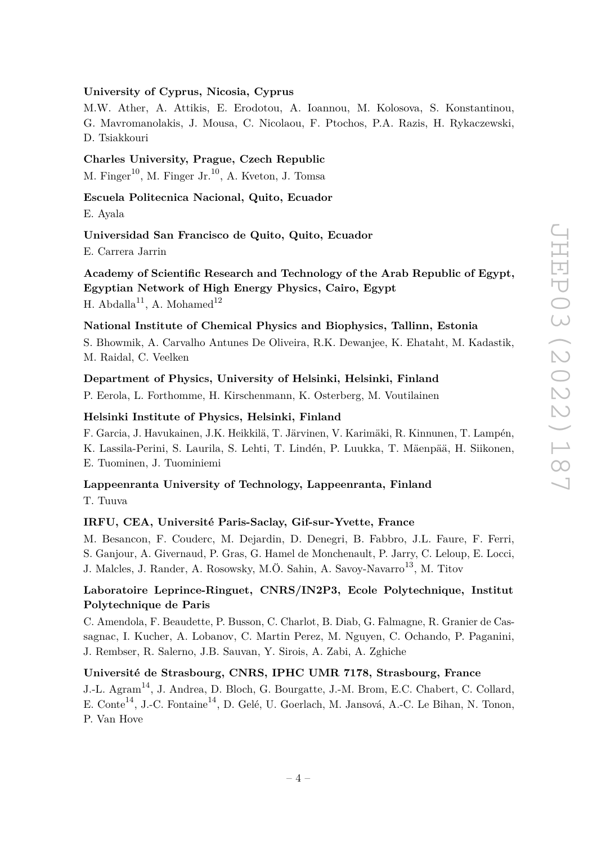### **University of Cyprus, Nicosia, Cyprus**

M.W. Ather, A. Attikis, E. Erodotou, A. Ioannou, M. Kolosova, S. Konstantinou, G. Mavromanolakis, J. Mousa, C. Nicolaou, F. Ptochos, P.A. Razis, H. Rykaczewski, D. Tsiakkouri

# **Charles University, Prague, Czech Republic**

M. Finger<sup>10</sup>, M. Finger Jr.<sup>10</sup>, A. Kveton, J. Tomsa

## **Escuela Politecnica Nacional, Quito, Ecuador**

E. Ayala

### **Universidad San Francisco de Quito, Quito, Ecuador**

E. Carrera Jarrin

# **Academy of Scientific Research and Technology of the Arab Republic of Egypt, Egyptian Network of High Energy Physics, Cairo, Egypt** H. Abdalla<sup>11</sup>, A. Mohamed<sup>12</sup>

#### **National Institute of Chemical Physics and Biophysics, Tallinn, Estonia**

S. Bhowmik, A. Carvalho Antunes De Oliveira, R.K. Dewanjee, K. Ehataht, M. Kadastik, M. Raidal, C. Veelken

#### **Department of Physics, University of Helsinki, Helsinki, Finland**

P. Eerola, L. Forthomme, H. Kirschenmann, K. Osterberg, M. Voutilainen

### **Helsinki Institute of Physics, Helsinki, Finland**

F. Garcia, J. Havukainen, J.K. Heikkilä, T. Järvinen, V. Karimäki, R. Kinnunen, T. Lampén, K. Lassila-Perini, S. Laurila, S. Lehti, T. Lindén, P. Luukka, T. Mäenpää, H. Siikonen, E. Tuominen, J. Tuominiemi

# **Lappeenranta University of Technology, Lappeenranta, Finland** T. Tuuva

### **IRFU, CEA, Université Paris-Saclay, Gif-sur-Yvette, France**

M. Besancon, F. Couderc, M. Dejardin, D. Denegri, B. Fabbro, J.L. Faure, F. Ferri, S. Ganjour, A. Givernaud, P. Gras, G. Hamel de Monchenault, P. Jarry, C. Leloup, E. Locci, J. Malcles, J. Rander, A. Rosowsky, M.Ö. Sahin, A. Savoy-Navarro<sup>13</sup>, M. Titov

# **Laboratoire Leprince-Ringuet, CNRS/IN2P3, Ecole Polytechnique, Institut Polytechnique de Paris**

C. Amendola, F. Beaudette, P. Busson, C. Charlot, B. Diab, G. Falmagne, R. Granier de Cassagnac, I. Kucher, A. Lobanov, C. Martin Perez, M. Nguyen, C. Ochando, P. Paganini, J. Rembser, R. Salerno, J.B. Sauvan, Y. Sirois, A. Zabi, A. Zghiche

### **Université de Strasbourg, CNRS, IPHC UMR 7178, Strasbourg, France**

J.-L. Agram<sup>14</sup>, J. Andrea, D. Bloch, G. Bourgatte, J.-M. Brom, E.C. Chabert, C. Collard, E. Conte<sup>14</sup>, J.-C. Fontaine<sup>14</sup>, D. Gelé, U. Goerlach, M. Jansová, A.-C. Le Bihan, N. Tonon, P. Van Hove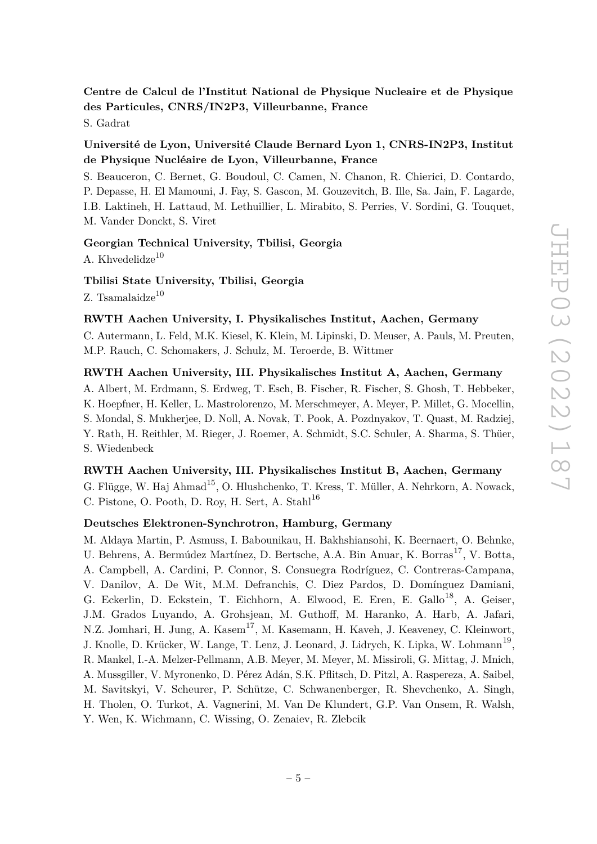# **Centre de Calcul de l'Institut National de Physique Nucleaire et de Physique des Particules, CNRS/IN2P3, Villeurbanne, France**

S. Gadrat

# **Université de Lyon, Université Claude Bernard Lyon 1, CNRS-IN2P3, Institut de Physique Nucléaire de Lyon, Villeurbanne, France**

S. Beauceron, C. Bernet, G. Boudoul, C. Camen, N. Chanon, R. Chierici, D. Contardo, P. Depasse, H. El Mamouni, J. Fay, S. Gascon, M. Gouzevitch, B. Ille, Sa. Jain, F. Lagarde, I.B. Laktineh, H. Lattaud, M. Lethuillier, L. Mirabito, S. Perries, V. Sordini, G. Touquet, M. Vander Donckt, S. Viret

### **Georgian Technical University, Tbilisi, Georgia**

A. Khvedelidze $10$ 

#### **Tbilisi State University, Tbilisi, Georgia**

 $Z.$  Tsamalaidze $^{10}$ 

#### **RWTH Aachen University, I. Physikalisches Institut, Aachen, Germany**

C. Autermann, L. Feld, M.K. Kiesel, K. Klein, M. Lipinski, D. Meuser, A. Pauls, M. Preuten, M.P. Rauch, C. Schomakers, J. Schulz, M. Teroerde, B. Wittmer

#### **RWTH Aachen University, III. Physikalisches Institut A, Aachen, Germany**

A. Albert, M. Erdmann, S. Erdweg, T. Esch, B. Fischer, R. Fischer, S. Ghosh, T. Hebbeker, K. Hoepfner, H. Keller, L. Mastrolorenzo, M. Merschmeyer, A. Meyer, P. Millet, G. Mocellin, S. Mondal, S. Mukherjee, D. Noll, A. Novak, T. Pook, A. Pozdnyakov, T. Quast, M. Radziej, Y. Rath, H. Reithler, M. Rieger, J. Roemer, A. Schmidt, S.C. Schuler, A. Sharma, S. Thüer, S. Wiedenbeck

### **RWTH Aachen University, III. Physikalisches Institut B, Aachen, Germany**

G. Flügge, W. Haj Ahmad<sup>15</sup>, O. Hlushchenko, T. Kress, T. Müller, A. Nehrkorn, A. Nowack, C. Pistone, O. Pooth, D. Roy, H. Sert, A. Stahl<sup>16</sup>

### **Deutsches Elektronen-Synchrotron, Hamburg, Germany**

M. Aldaya Martin, P. Asmuss, I. Babounikau, H. Bakhshiansohi, K. Beernaert, O. Behnke, U. Behrens, A. Bermúdez Martínez, D. Bertsche, A.A. Bin Anuar, K. Borras<sup>17</sup>, V. Botta. A. Campbell, A. Cardini, P. Connor, S. Consuegra Rodríguez, C. Contreras-Campana, V. Danilov, A. De Wit, M.M. Defranchis, C. Diez Pardos, D. Domínguez Damiani, G. Eckerlin, D. Eckstein, T. Eichhorn, A. Elwood, E. Eren, E. Gallo<sup>18</sup>, A. Geiser, J.M. Grados Luyando, A. Grohsjean, M. Guthoff, M. Haranko, A. Harb, A. Jafari, N.Z. Jomhari, H. Jung, A. Kasem<sup>17</sup>, M. Kasemann, H. Kaveh, J. Keaveney, C. Kleinwort, J. Knolle, D. Krücker, W. Lange, T. Lenz, J. Leonard, J. Lidrych, K. Lipka, W. Lohmann<sup>19</sup>, R. Mankel, I.-A. Melzer-Pellmann, A.B. Meyer, M. Meyer, M. Missiroli, G. Mittag, J. Mnich, A. Mussgiller, V. Myronenko, D. Pérez Adán, S.K. Pflitsch, D. Pitzl, A. Raspereza, A. Saibel, M. Savitskyi, V. Scheurer, P. Schütze, C. Schwanenberger, R. Shevchenko, A. Singh, H. Tholen, O. Turkot, A. Vagnerini, M. Van De Klundert, G.P. Van Onsem, R. Walsh, Y. Wen, K. Wichmann, C. Wissing, O. Zenaiev, R. Zlebcik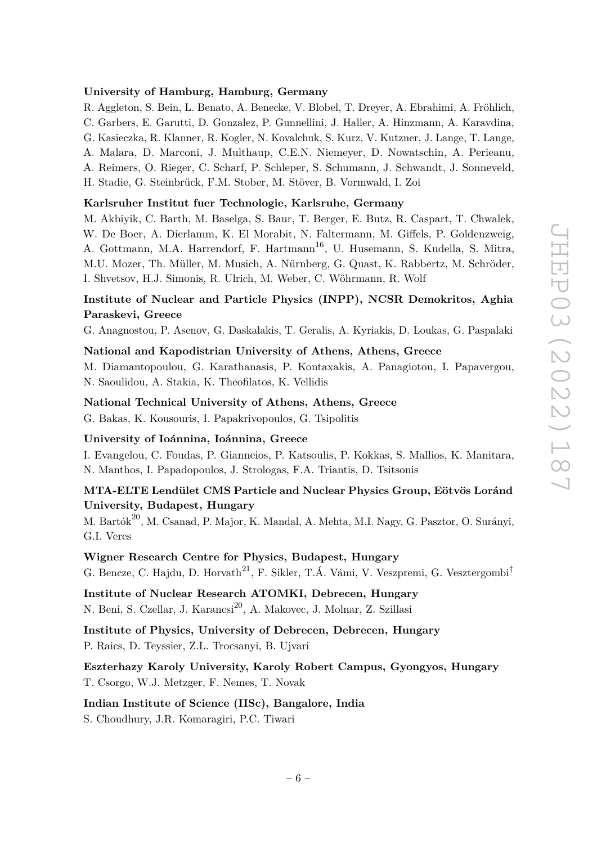#### **University of Hamburg, Hamburg, Germany**

R. Aggleton, S. Bein, L. Benato, A. Benecke, V. Blobel, T. Dreyer, A. Ebrahimi, A. Fröhlich, C. Garbers, E. Garutti, D. Gonzalez, P. Gunnellini, J. Haller, A. Hinzmann, A. Karavdina, G. Kasieczka, R. Klanner, R. Kogler, N. Kovalchuk, S. Kurz, V. Kutzner, J. Lange, T. Lange, A. Malara, D. Marconi, J. Multhaup, C.E.N. Niemeyer, D. Nowatschin, A. Perieanu, A. Reimers, O. Rieger, C. Scharf, P. Schleper, S. Schumann, J. Schwandt, J. Sonneveld, H. Stadie, G. Steinbrück, F.M. Stober, M. Stöver, B. Vormwald, I. Zoi

### **Karlsruher Institut fuer Technologie, Karlsruhe, Germany**

M. Akbiyik, C. Barth, M. Baselga, S. Baur, T. Berger, E. Butz, R. Caspart, T. Chwalek, W. De Boer, A. Dierlamm, K. El Morabit, N. Faltermann, M. Giffels, P. Goldenzweig, A. Gottmann, M.A. Harrendorf, F. Hartmann<sup>16</sup>, U. Husemann, S. Kudella, S. Mitra, M.U. Mozer, Th. Müller, M. Musich, A. Nürnberg, G. Quast, K. Rabbertz, M. Schröder, I. Shvetsov, H.J. Simonis, R. Ulrich, M. Weber, C. Wöhrmann, R. Wolf

# **Institute of Nuclear and Particle Physics (INPP), NCSR Demokritos, Aghia Paraskevi, Greece**

G. Anagnostou, P. Asenov, G. Daskalakis, T. Geralis, A. Kyriakis, D. Loukas, G. Paspalaki

### **National and Kapodistrian University of Athens, Athens, Greece**

M. Diamantopoulou, G. Karathanasis, P. Kontaxakis, A. Panagiotou, I. Papavergou, N. Saoulidou, A. Stakia, K. Theofilatos, K. Vellidis

#### **National Technical University of Athens, Athens, Greece**

G. Bakas, K. Kousouris, I. Papakrivopoulos, G. Tsipolitis

### **University of Ioánnina, Ioánnina, Greece**

I. Evangelou, C. Foudas, P. Gianneios, P. Katsoulis, P. Kokkas, S. Mallios, K. Manitara, N. Manthos, I. Papadopoulos, J. Strologas, F.A. Triantis, D. Tsitsonis

# **MTA-ELTE Lendület CMS Particle and Nuclear Physics Group, Eötvös Loránd University, Budapest, Hungary**

M. Bartók<sup>20</sup>, M. Csanad, P. Major, K. Mandal, A. Mehta, M.I. Nagy, G. Pasztor, O. Surányi, G.I. Veres

# **Wigner Research Centre for Physics, Budapest, Hungary**

G. Bencze, C. Hajdu, D. Horvath<sup>21</sup>, F. Sikler, T.Á. Vámi, V. Veszpremi, G. Vesztergombi<sup>†</sup>

**Institute of Nuclear Research ATOMKI, Debrecen, Hungary** N. Beni, S. Czellar, J. Karancsi<sup>20</sup>, A. Makovec, J. Molnar, Z. Szillasi

**Institute of Physics, University of Debrecen, Debrecen, Hungary** P. Raics, D. Teyssier, Z.L. Trocsanyi, B. Ujvari

**Eszterhazy Karoly University, Karoly Robert Campus, Gyongyos, Hungary** T. Csorgo, W.J. Metzger, F. Nemes, T. Novak

### **Indian Institute of Science (IISc), Bangalore, India**

S. Choudhury, J.R. Komaragiri, P.C. Tiwari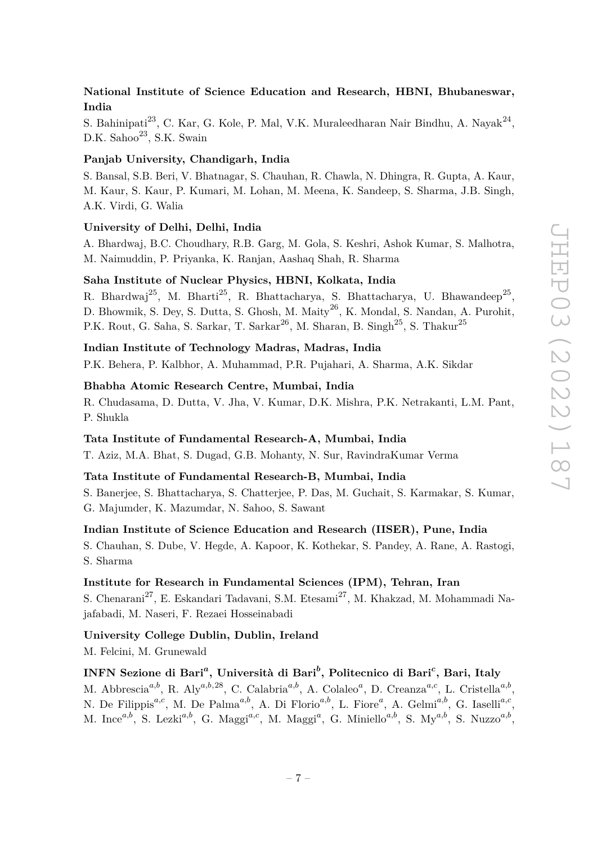# **National Institute of Science Education and Research, HBNI, Bhubaneswar, India**

S. Bahinipati $^{23}$ , C. Kar, G. Kole, P. Mal, V.K. Muraleedharan Nair Bindhu, A. Nayak $^{24}$ ,  $D.K.$  Sahoo $^{23}$ , S.K. Swain

### **Panjab University, Chandigarh, India**

S. Bansal, S.B. Beri, V. Bhatnagar, S. Chauhan, R. Chawla, N. Dhingra, R. Gupta, A. Kaur, M. Kaur, S. Kaur, P. Kumari, M. Lohan, M. Meena, K. Sandeep, S. Sharma, J.B. Singh, A.K. Virdi, G. Walia

# **University of Delhi, Delhi, India**

A. Bhardwaj, B.C. Choudhary, R.B. Garg, M. Gola, S. Keshri, Ashok Kumar, S. Malhotra, M. Naimuddin, P. Priyanka, K. Ranjan, Aashaq Shah, R. Sharma

### **Saha Institute of Nuclear Physics, HBNI, Kolkata, India**

R. Bhardwaj<sup>25</sup>, M. Bharti<sup>25</sup>, R. Bhattacharya, S. Bhattacharya, U. Bhawandeep<sup>25</sup>, D. Bhowmik, S. Dey, S. Dutta, S. Ghosh, M. Maity<sup>26</sup>, K. Mondal, S. Nandan, A. Purohit, P.K. Rout, G. Saha, S. Sarkar, T. Sarkar<sup>26</sup>, M. Sharan, B. Singh<sup>25</sup>, S. Thakur<sup>25</sup>

### **Indian Institute of Technology Madras, Madras, India**

P.K. Behera, P. Kalbhor, A. Muhammad, P.R. Pujahari, A. Sharma, A.K. Sikdar

### **Bhabha Atomic Research Centre, Mumbai, India**

R. Chudasama, D. Dutta, V. Jha, V. Kumar, D.K. Mishra, P.K. Netrakanti, L.M. Pant, P. Shukla

### **Tata Institute of Fundamental Research-A, Mumbai, India**

T. Aziz, M.A. Bhat, S. Dugad, G.B. Mohanty, N. Sur, RavindraKumar Verma

### **Tata Institute of Fundamental Research-B, Mumbai, India**

S. Banerjee, S. Bhattacharya, S. Chatterjee, P. Das, M. Guchait, S. Karmakar, S. Kumar, G. Majumder, K. Mazumdar, N. Sahoo, S. Sawant

### **Indian Institute of Science Education and Research (IISER), Pune, India**

S. Chauhan, S. Dube, V. Hegde, A. Kapoor, K. Kothekar, S. Pandey, A. Rane, A. Rastogi, S. Sharma

# **Institute for Research in Fundamental Sciences (IPM), Tehran, Iran**

S. Chenarani<sup>27</sup>, E. Eskandari Tadavani, S.M. Etesami<sup>27</sup>, M. Khakzad, M. Mohammadi Najafabadi, M. Naseri, F. Rezaei Hosseinabadi

### **University College Dublin, Dublin, Ireland**

M. Felcini, M. Grunewald

# **INFN Sezione di Bari***<sup>a</sup>* **, Università di Bari***<sup>b</sup>* **, Politecnico di Bari***<sup>c</sup>* **, Bari, Italy**

M. Abbrescia*a,b*, R. Aly*a,b,*28, C. Calabria*a,b*, A. Colaleo*<sup>a</sup>* , D. Creanza*a,c*, L. Cristella*a,b* , N. De Filippis*a,c*, M. De Palma*a,b*, A. Di Florio*a,b*, L. Fiore*<sup>a</sup>* , A. Gelmi*a,b*, G. Iaselli*a,c* , M. Ince*a,b*, S. Lezki*a,b*, G. Maggi*a,c*, M. Maggi*<sup>a</sup>* , G. Miniello*a,b*, S. My*a,b*, S. Nuzzo*a,b* ,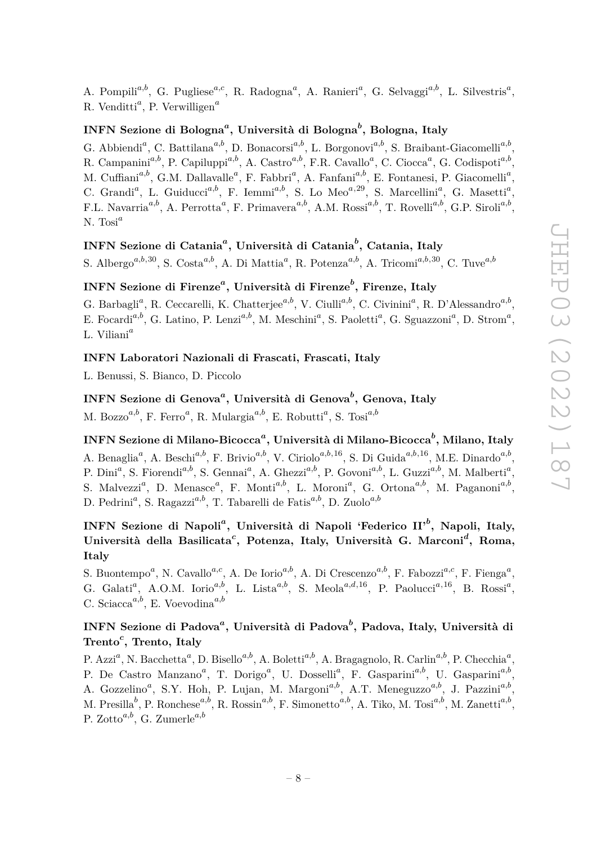A. Pompili<sup>a,b</sup>, G. Pugliese<sup>a,c</sup>, R. Radogna<sup>a</sup>, A. Ranieri<sup>a</sup>, G. Selvaggi<sup>a,b</sup>, L. Silvestris<sup>a</sup>, R. Venditti*<sup>a</sup>* , P. Verwilligen*<sup>a</sup>*

# **INFN Sezione di Bologna***<sup>a</sup>* **, Università di Bologna***<sup>b</sup>* **, Bologna, Italy**

G. Abbiendi<sup>a</sup>, C. Battilana<sup>a,b</sup>, D. Bonacorsi<sup>a,b</sup>, L. Borgonovi<sup>a,b</sup>, S. Braibant-Giacomelli<sup>a,b</sup>, R. Campanini<sup>*a,b*</sup>, P. Capiluppi<sup>*a,b*</sup>, A. Castro<sup>*a,b*</sup>, F.R. Cavallo<sup>*a*</sup>, C. Ciocca<sup>*a*</sup>, G. Codispoti<sup>*a,b*</sup>, M. Cuffiani<sup>a,b</sup>, G.M. Dallavalle<sup>a</sup>, F. Fabbri<sup>a</sup>, A. Fanfani<sup>a,b</sup>, E. Fontanesi, P. Giacomelli<sup>a</sup>, C. Grandi<sup>a</sup>, L. Guiducci<sup>a,b</sup>, F. Iemmi<sup>a,b</sup>, S. Lo Meo<sup>a,29</sup>, S. Marcellini<sup>a</sup>, G. Masetti<sup>a</sup>, F.L. Navarria*a,b*, A. Perrotta*<sup>a</sup>* , F. Primavera*a,b*, A.M. Rossi*a,b*, T. Rovelli*a,b*, G.P. Siroli*a,b* , N. Tosi*<sup>a</sup>*

# **INFN Sezione di Catania***<sup>a</sup>* **, Università di Catania***<sup>b</sup>* **, Catania, Italy**

S. Albergo*a,b,*30, S. Costa*a,b*, A. Di Mattia*<sup>a</sup>* , R. Potenza*a,b*, A. Tricomi*a,b,*30, C. Tuve*a,b*

# **INFN Sezione di Firenze***<sup>a</sup>* **, Università di Firenze***<sup>b</sup>* **, Firenze, Italy**

G. Barbagli<sup>a</sup>, R. Ceccarelli, K. Chatterjee<sup>*a,b*</sup>, V. Ciulli<sup>*a,b*</sup>, C. Civinini<sup>*a*</sup>, R. D'Alessandro<sup>*a,b*</sup>, E. Focardi<sup>a,b</sup>, G. Latino, P. Lenzi<sup>a,b</sup>, M. Meschini<sup>a</sup>, S. Paoletti<sup>a</sup>, G. Sguazzoni<sup>a</sup>, D. Strom<sup>a</sup>, L. Viliani*<sup>a</sup>*

# **INFN Laboratori Nazionali di Frascati, Frascati, Italy**

L. Benussi, S. Bianco, D. Piccolo

# **INFN Sezione di Genova***<sup>a</sup>* **, Università di Genova***<sup>b</sup>* **, Genova, Italy**

M. Bozzo*a,b*, F. Ferro*<sup>a</sup>* , R. Mulargia*a,b*, E. Robutti*<sup>a</sup>* , S. Tosi*a,b*

# **INFN Sezione di Milano-Bicocca***<sup>a</sup>* **, Università di Milano-Bicocca***<sup>b</sup>* **, Milano, Italy**

A. Benaglia<sup>a</sup>, A. Beschi<sup>a,b</sup>, F. Brivio<sup>a,b</sup>, V. Ciriolo<sup>a,b,16</sup>, S. Di Guida<sup>a,b,16</sup>, M.E. Dinardo<sup>a,b</sup>, P. Dini<sup>a</sup>, S. Fiorendi<sup>a,b</sup>, S. Gennai<sup>a</sup>, A. Ghezzi<sup>a,b</sup>, P. Govoni<sup>a,b</sup>, L. Guzzi<sup>a,b</sup>, M. Malberti<sup>a</sup>, S. Malvezzi<sup>a</sup>, D. Menasce<sup>a</sup>, F. Monti<sup>a,b</sup>, L. Moroni<sup>a</sup>, G. Ortona<sup>a,b</sup>, M. Paganoni<sup>a,b</sup>, D. Pedrini*<sup>a</sup>* , S. Ragazzi*a,b*, T. Tabarelli de Fatis*a,b*, D. Zuolo*a,b*

# **INFN Sezione di Napoli***<sup>a</sup>* **, Università di Napoli 'Federico II'***<sup>b</sup>* **, Napoli, Italy, Università della Basilicata***<sup>c</sup>* **, Potenza, Italy, Università G. Marconi***<sup>d</sup>* **, Roma, Italy**

S. Buontempo<sup>a</sup>, N. Cavallo<sup>a,c</sup>, A. De Iorio<sup>a,b</sup>, A. Di Crescenzo<sup>a,b</sup>, F. Fabozzi<sup>a,c</sup>, F. Fienga<sup>a</sup>, G. Galati<sup>a</sup>, A.O.M. Iorio<sup>a,b</sup>, L. Lista<sup>a,b</sup>, S. Meola<sup>a,d,16</sup>, P. Paolucci<sup>a,16</sup>, B. Rossi<sup>a</sup>, C. Sciacca*a,b*, E. Voevodina*a,b*

# **INFN Sezione di Padova***<sup>a</sup>* **, Università di Padova***<sup>b</sup>* **, Padova, Italy, Università di Trento***<sup>c</sup>* **, Trento, Italy**

P. Azzi<sup>a</sup>, N. Bacchetta<sup>a</sup>, D. Bisello<sup>a,b</sup>, A. Boletti<sup>a,b</sup>, A. Bragagnolo, R. Carlin<sup>a,b</sup>, P. Checchia<sup>a</sup>, P. De Castro Manzano<sup>a</sup>, T. Dorigo<sup>a</sup>, U. Dosselli<sup>a</sup>, F. Gasparini<sup>a,b</sup>, U. Gasparini<sup>a,b</sup>, A. Gozzelino<sup>a</sup>, S.Y. Hoh, P. Lujan, M. Margoni<sup>a,b</sup>, A.T. Meneguzzo<sup>a,b</sup>, J. Pazzini<sup>a,b</sup>, M. Presilla*<sup>b</sup>* , P. Ronchese*a,b*, R. Rossin*a,b*, F. Simonetto*a,b*, A. Tiko, M. Tosi*a,b*, M. Zanetti*a,b* , P. Zotto*a,b*, G. Zumerle*a,b*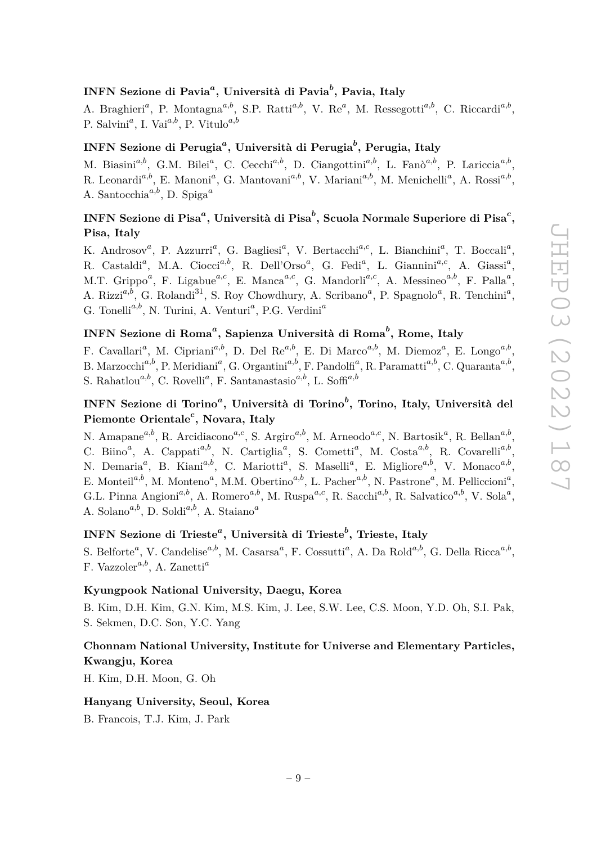# **INFN Sezione di Pavia***<sup>a</sup>* **, Università di Pavia***<sup>b</sup>* **, Pavia, Italy**

A. Braghieri<sup>a</sup>, P. Montagna<sup>a,b</sup>, S.P. Ratti<sup>a,b</sup>, V. Re<sup>a</sup>, M. Ressegotti<sup>a,b</sup>, C. Riccardi<sup>a,b</sup>, P. Salvini*<sup>a</sup>* , I. Vai*a,b*, P. Vitulo*a,b*

# **INFN Sezione di Perugia***<sup>a</sup>* **, Università di Perugia***<sup>b</sup>* **, Perugia, Italy**

M. Biasini*a,b*, G.M. Bilei*<sup>a</sup>* , C. Cecchi*a,b*, D. Ciangottini*a,b*, L. Fanò*a,b*, P. Lariccia*a,b* , R. Leonardi<sup>a,b</sup>, E. Manoni<sup>a</sup>, G. Mantovani<sup>a,b</sup>, V. Mariani<sup>a,b</sup>, M. Menichelli<sup>a</sup>, A. Rossi<sup>a,b</sup>, A. Santocchia*a,b*, D. Spiga*<sup>a</sup>*

# **INFN Sezione di Pisa***<sup>a</sup>* **, Università di Pisa***<sup>b</sup>* **, Scuola Normale Superiore di Pisa***<sup>c</sup>* **, Pisa, Italy**

K. Androsov<sup>a</sup>, P. Azzurri<sup>a</sup>, G. Bagliesi<sup>a</sup>, V. Bertacchi<sup>a,c</sup>, L. Bianchini<sup>a</sup>, T. Boccali<sup>a</sup>, R. Castaldi<sup>a</sup>, M.A. Ciocci<sup>a,b</sup>, R. Dell'Orso<sup>a</sup>, G. Fedi<sup>a</sup>, L. Giannini<sup>a,c</sup>, A. Giassi<sup>a</sup>, M.T. Grippo<sup>a</sup>, F. Ligabue<sup>a,c</sup>, E. Manca<sup>a,c</sup>, G. Mandorli<sup>a,c</sup>, A. Messineo<sup>a,b</sup>, F. Palla<sup>a</sup>, A. Rizzi<sup>a,b</sup>, G. Rolandi<sup>31</sup>, S. Roy Chowdhury, A. Scribano<sup>a</sup>, P. Spagnolo<sup>a</sup>, R. Tenchini<sup>a</sup>, G. Tonelli*a,b*, N. Turini, A. Venturi*<sup>a</sup>* , P.G. Verdini*<sup>a</sup>*

# **INFN Sezione di Roma***<sup>a</sup>* **, Sapienza Università di Roma***<sup>b</sup>* **, Rome, Italy**

F. Cavallari<sup>a</sup>, M. Cipriani<sup>a,b</sup>, D. Del Re<sup>a,b</sup>, E. Di Marco<sup>a,b</sup>, M. Diemoz<sup>a</sup>, E. Longo<sup>a,b</sup>, B. Marzocchi*a,b*, P. Meridiani*<sup>a</sup>* , G. Organtini*a,b*, F. Pandolfi*<sup>a</sup>* , R. Paramatti*a,b*, C. Quaranta*a,b* , S. Rahatlou*a,b*, C. Rovelli*<sup>a</sup>* , F. Santanastasio*a,b*, L. Soffi*a,b*

# **INFN Sezione di Torino***<sup>a</sup>* **, Università di Torino***<sup>b</sup>* **, Torino, Italy, Università del Piemonte Orientale***<sup>c</sup>* **, Novara, Italy**

N. Amapane*a,b*, R. Arcidiacono*a,c*, S. Argiro*a,b*, M. Arneodo*a,c*, N. Bartosik*<sup>a</sup>* , R. Bellan*a,b* , C. Biino<sup>a</sup>, A. Cappati<sup>a,b</sup>, N. Cartiglia<sup>a</sup>, S. Cometti<sup>a</sup>, M. Costa<sup>a,b</sup>, R. Covarelli<sup>a,b</sup>, N. Demaria<sup>a</sup>, B. Kiani<sup>a,b</sup>, C. Mariotti<sup>a</sup>, S. Maselli<sup>a</sup>, E. Migliore<sup>a,b</sup>, V. Monaco<sup>a,b</sup>, E. Monteil<sup>a,b</sup>, M. Monteno<sup>a</sup>, M.M. Obertino<sup>a,b</sup>, L. Pacher<sup>a,b</sup>, N. Pastrone<sup>a</sup>, M. Pelliccioni<sup>a</sup>, G.L. Pinna Angioni*a,b*, A. Romero*a,b*, M. Ruspa*a,c*, R. Sacchi*a,b*, R. Salvatico*a,b*, V. Sola*<sup>a</sup>* , A. Solano*a,b*, D. Soldi*a,b*, A. Staiano*<sup>a</sup>*

# **INFN Sezione di Trieste***<sup>a</sup>* **, Università di Trieste***<sup>b</sup>* **, Trieste, Italy**

S. Belforte<sup>a</sup>, V. Candelise<sup>a,b</sup>, M. Casarsa<sup>a</sup>, F. Cossutti<sup>a</sup>, A. Da Rold<sup>a,b</sup>, G. Della Ricca<sup>a,b</sup>, F. Vazzoler*a,b*, A. Zanetti*<sup>a</sup>*

#### **Kyungpook National University, Daegu, Korea**

B. Kim, D.H. Kim, G.N. Kim, M.S. Kim, J. Lee, S.W. Lee, C.S. Moon, Y.D. Oh, S.I. Pak, S. Sekmen, D.C. Son, Y.C. Yang

# **Chonnam National University, Institute for Universe and Elementary Particles, Kwangju, Korea**

H. Kim, D.H. Moon, G. Oh

### **Hanyang University, Seoul, Korea**

B. Francois, T.J. Kim, J. Park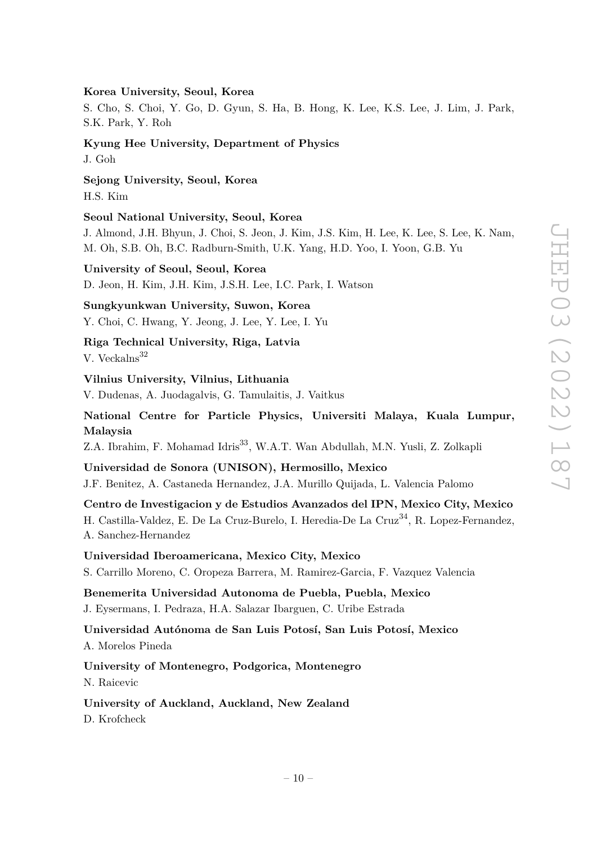### **Korea University, Seoul, Korea**

S. Cho, S. Choi, Y. Go, D. Gyun, S. Ha, B. Hong, K. Lee, K.S. Lee, J. Lim, J. Park, S.K. Park, Y. Roh

#### **Kyung Hee University, Department of Physics**

J. Goh

**Sejong University, Seoul, Korea** H.S. Kim

### **Seoul National University, Seoul, Korea**

J. Almond, J.H. Bhyun, J. Choi, S. Jeon, J. Kim, J.S. Kim, H. Lee, K. Lee, S. Lee, K. Nam, M. Oh, S.B. Oh, B.C. Radburn-Smith, U.K. Yang, H.D. Yoo, I. Yoon, G.B. Yu

### **University of Seoul, Seoul, Korea**

D. Jeon, H. Kim, J.H. Kim, J.S.H. Lee, I.C. Park, I. Watson

#### **Sungkyunkwan University, Suwon, Korea**

Y. Choi, C. Hwang, Y. Jeong, J. Lee, Y. Lee, I. Yu

### **Riga Technical University, Riga, Latvia**

V. Veckalns $32$ 

#### **Vilnius University, Vilnius, Lithuania**

V. Dudenas, A. Juodagalvis, G. Tamulaitis, J. Vaitkus

# **National Centre for Particle Physics, Universiti Malaya, Kuala Lumpur, Malaysia**

Z.A. Ibrahim, F. Mohamad Idris<sup>33</sup>, W.A.T. Wan Abdullah, M.N. Yusli, Z. Zolkapli

# **Universidad de Sonora (UNISON), Hermosillo, Mexico**

J.F. Benitez, A. Castaneda Hernandez, J.A. Murillo Quijada, L. Valencia Palomo

### **Centro de Investigacion y de Estudios Avanzados del IPN, Mexico City, Mexico**

H. Castilla-Valdez, E. De La Cruz-Burelo, I. Heredia-De La Cruz<sup>34</sup>, R. Lopez-Fernandez, A. Sanchez-Hernandez

#### **Universidad Iberoamericana, Mexico City, Mexico**

S. Carrillo Moreno, C. Oropeza Barrera, M. Ramirez-Garcia, F. Vazquez Valencia

### **Benemerita Universidad Autonoma de Puebla, Puebla, Mexico**

J. Eysermans, I. Pedraza, H.A. Salazar Ibarguen, C. Uribe Estrada

# **Universidad Autónoma de San Luis Potosí, San Luis Potosí, Mexico** A. Morelos Pineda

# **University of Montenegro, Podgorica, Montenegro**

N. Raicevic

# **University of Auckland, Auckland, New Zealand** D. Krofcheck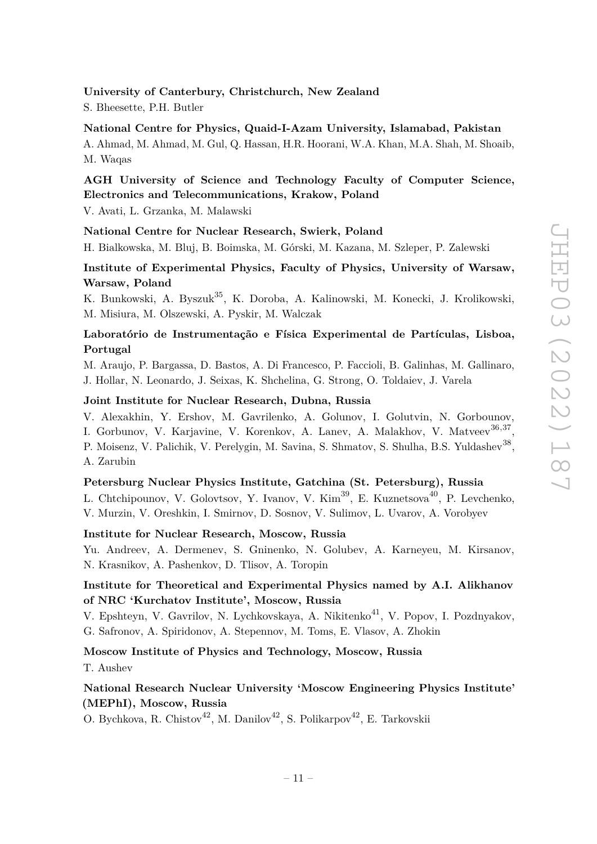#### **University of Canterbury, Christchurch, New Zealand**

S. Bheesette, P.H. Butler

#### **National Centre for Physics, Quaid-I-Azam University, Islamabad, Pakistan**

A. Ahmad, M. Ahmad, M. Gul, Q. Hassan, H.R. Hoorani, W.A. Khan, M.A. Shah, M. Shoaib, M. Waqas

# **AGH University of Science and Technology Faculty of Computer Science, Electronics and Telecommunications, Krakow, Poland**

V. Avati, L. Grzanka, M. Malawski

### **National Centre for Nuclear Research, Swierk, Poland**

H. Bialkowska, M. Bluj, B. Boimska, M. Górski, M. Kazana, M. Szleper, P. Zalewski

# **Institute of Experimental Physics, Faculty of Physics, University of Warsaw, Warsaw, Poland**

K. Bunkowski, A. Byszuk<sup>35</sup>, K. Doroba, A. Kalinowski, M. Konecki, J. Krolikowski, M. Misiura, M. Olszewski, A. Pyskir, M. Walczak

# **Laboratório de Instrumentação e Física Experimental de Partículas, Lisboa, Portugal**

M. Araujo, P. Bargassa, D. Bastos, A. Di Francesco, P. Faccioli, B. Galinhas, M. Gallinaro, J. Hollar, N. Leonardo, J. Seixas, K. Shchelina, G. Strong, O. Toldaiev, J. Varela

#### **Joint Institute for Nuclear Research, Dubna, Russia**

V. Alexakhin, Y. Ershov, M. Gavrilenko, A. Golunov, I. Golutvin, N. Gorbounov, I. Gorbunov, V. Karjavine, V. Korenkov, A. Lanev, A. Malakhov, V. Matveev<sup>36,37</sup>, P. Moisenz, V. Palichik, V. Perelygin, M. Savina, S. Shmatov, S. Shulha, B.S. Yuldashev<sup>38</sup>, A. Zarubin

### **Petersburg Nuclear Physics Institute, Gatchina (St. Petersburg), Russia**

L. Chtchipounov, V. Golovtsov, Y. Ivanov, V. Kim<sup>39</sup>, E. Kuznetsova<sup>40</sup>, P. Levchenko, V. Murzin, V. Oreshkin, I. Smirnov, D. Sosnov, V. Sulimov, L. Uvarov, A. Vorobyev

#### **Institute for Nuclear Research, Moscow, Russia**

Yu. Andreev, A. Dermenev, S. Gninenko, N. Golubev, A. Karneyeu, M. Kirsanov, N. Krasnikov, A. Pashenkov, D. Tlisov, A. Toropin

# **Institute for Theoretical and Experimental Physics named by A.I. Alikhanov of NRC 'Kurchatov Institute', Moscow, Russia**

V. Epshteyn, V. Gavrilov, N. Lychkovskaya, A. Nikitenko $^{41},$  V. Popov, I. Pozdnyakov, G. Safronov, A. Spiridonov, A. Stepennov, M. Toms, E. Vlasov, A. Zhokin

**Moscow Institute of Physics and Technology, Moscow, Russia**

T. Aushev

# **National Research Nuclear University 'Moscow Engineering Physics Institute' (MEPhI), Moscow, Russia**

O. Bychkova, R. Chistov<sup>42</sup>, M. Danilov<sup>42</sup>, S. Polikarpov<sup>42</sup>, E. Tarkovskii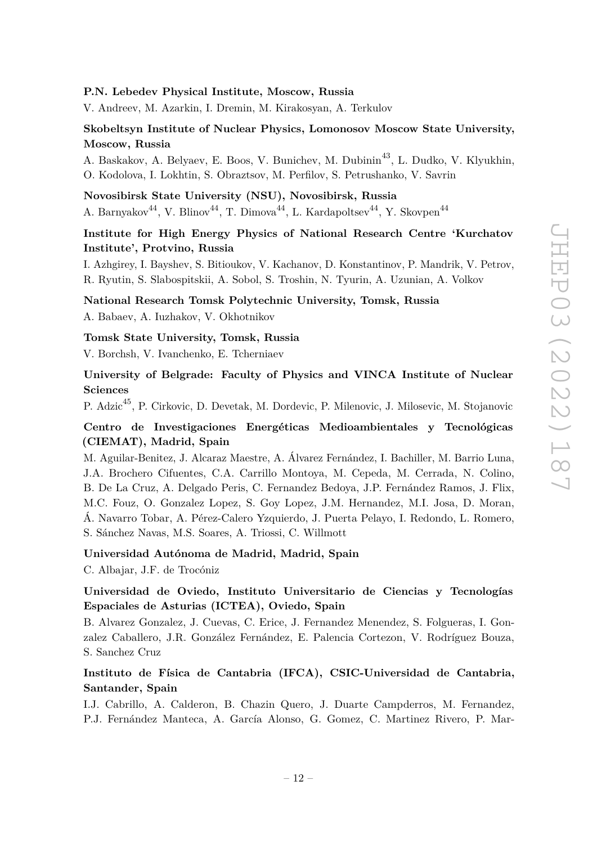#### **P.N. Lebedev Physical Institute, Moscow, Russia**

V. Andreev, M. Azarkin, I. Dremin, M. Kirakosyan, A. Terkulov

# **Skobeltsyn Institute of Nuclear Physics, Lomonosov Moscow State University, Moscow, Russia**

A. Baskakov, A. Belyaev, E. Boos, V. Bunichev, M. Dubinin<sup>43</sup>, L. Dudko, V. Klyukhin, O. Kodolova, I. Lokhtin, S. Obraztsov, M. Perfilov, S. Petrushanko, V. Savrin

# **Novosibirsk State University (NSU), Novosibirsk, Russia**

A. Barnyakov<sup>44</sup>, V. Blinov<sup>44</sup>, T. Dimova<sup>44</sup>, L. Kardapoltsev<sup>44</sup>, Y. Skovpen<sup>44</sup>

## **Institute for High Energy Physics of National Research Centre 'Kurchatov Institute', Protvino, Russia**

I. Azhgirey, I. Bayshev, S. Bitioukov, V. Kachanov, D. Konstantinov, P. Mandrik, V. Petrov,

R. Ryutin, S. Slabospitskii, A. Sobol, S. Troshin, N. Tyurin, A. Uzunian, A. Volkov

### **National Research Tomsk Polytechnic University, Tomsk, Russia**

A. Babaev, A. Iuzhakov, V. Okhotnikov

### **Tomsk State University, Tomsk, Russia**

V. Borchsh, V. Ivanchenko, E. Tcherniaev

# **University of Belgrade: Faculty of Physics and VINCA Institute of Nuclear Sciences**

P. Adzic<sup>45</sup>, P. Cirkovic, D. Devetak, M. Dordevic, P. Milenovic, J. Milosevic, M. Stojanovic

# **Centro de Investigaciones Energéticas Medioambientales y Tecnológicas (CIEMAT), Madrid, Spain**

M. Aguilar-Benitez, J. Alcaraz Maestre, A. Álvarez Fernández, I. Bachiller, M. Barrio Luna, J.A. Brochero Cifuentes, C.A. Carrillo Montoya, M. Cepeda, M. Cerrada, N. Colino, B. De La Cruz, A. Delgado Peris, C. Fernandez Bedoya, J.P. Fernández Ramos, J. Flix, M.C. Fouz, O. Gonzalez Lopez, S. Goy Lopez, J.M. Hernandez, M.I. Josa, D. Moran, Á. Navarro Tobar, A. Pérez-Calero Yzquierdo, J. Puerta Pelayo, I. Redondo, L. Romero, S. Sánchez Navas, M.S. Soares, A. Triossi, C. Willmott

### **Universidad Autónoma de Madrid, Madrid, Spain**

C. Albajar, J.F. de Trocóniz

# **Universidad de Oviedo, Instituto Universitario de Ciencias y Tecnologías Espaciales de Asturias (ICTEA), Oviedo, Spain**

B. Alvarez Gonzalez, J. Cuevas, C. Erice, J. Fernandez Menendez, S. Folgueras, I. Gonzalez Caballero, J.R. González Fernández, E. Palencia Cortezon, V. Rodríguez Bouza, S. Sanchez Cruz

# **Instituto de Física de Cantabria (IFCA), CSIC-Universidad de Cantabria, Santander, Spain**

I.J. Cabrillo, A. Calderon, B. Chazin Quero, J. Duarte Campderros, M. Fernandez, P.J. Fernández Manteca, A. García Alonso, G. Gomez, C. Martinez Rivero, P. Mar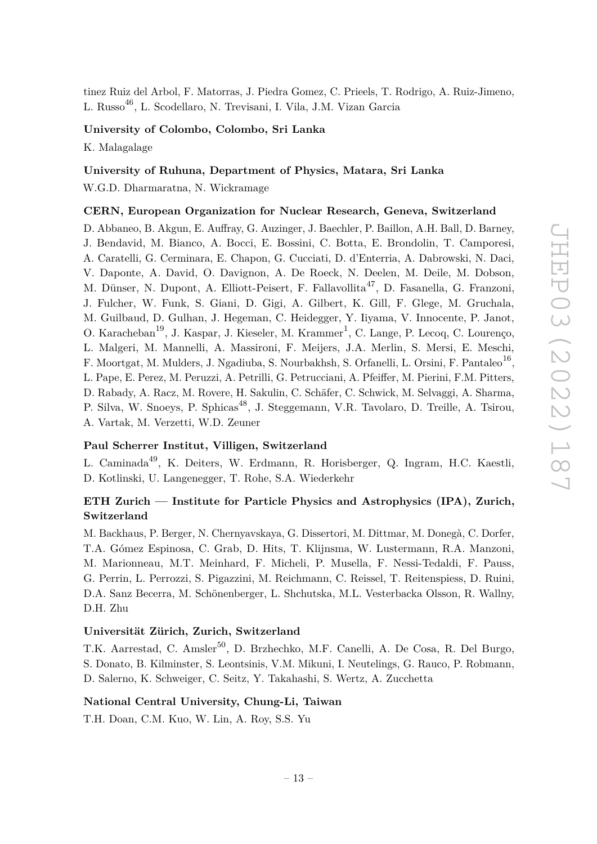tinez Ruiz del Arbol, F. Matorras, J. Piedra Gomez, C. Prieels, T. Rodrigo, A. Ruiz-Jimeno, L. Russo46, L. Scodellaro, N. Trevisani, I. Vila, J.M. Vizan Garcia

### **University of Colombo, Colombo, Sri Lanka**

K. Malagalage

### **University of Ruhuna, Department of Physics, Matara, Sri Lanka**

W.G.D. Dharmaratna, N. Wickramage

#### **CERN, European Organization for Nuclear Research, Geneva, Switzerland**

D. Abbaneo, B. Akgun, E. Auffray, G. Auzinger, J. Baechler, P. Baillon, A.H. Ball, D. Barney, J. Bendavid, M. Bianco, A. Bocci, E. Bossini, C. Botta, E. Brondolin, T. Camporesi, A. Caratelli, G. Cerminara, E. Chapon, G. Cucciati, D. d'Enterria, A. Dabrowski, N. Daci, V. Daponte, A. David, O. Davignon, A. De Roeck, N. Deelen, M. Deile, M. Dobson, M. Dünser, N. Dupont, A. Elliott-Peisert, F. Fallavollita<sup>47</sup>, D. Fasanella, G. Franzoni, J. Fulcher, W. Funk, S. Giani, D. Gigi, A. Gilbert, K. Gill, F. Glege, M. Gruchala, M. Guilbaud, D. Gulhan, J. Hegeman, C. Heidegger, Y. Iiyama, V. Innocente, P. Janot, O. Karacheban<sup>19</sup>, J. Kaspar, J. Kieseler, M. Krammer<sup>1</sup>, C. Lange, P. Lecoq, C. Lourenço, L. Malgeri, M. Mannelli, A. Massironi, F. Meijers, J.A. Merlin, S. Mersi, E. Meschi, F. Moortgat, M. Mulders, J. Ngadiuba, S. Nourbakhsh, S. Orfanelli, L. Orsini, F. Pantaleo<sup>16</sup>, L. Pape, E. Perez, M. Peruzzi, A. Petrilli, G. Petrucciani, A. Pfeiffer, M. Pierini, F.M. Pitters, D. Rabady, A. Racz, M. Rovere, H. Sakulin, C. Schäfer, C. Schwick, M. Selvaggi, A. Sharma, P. Silva, W. Snoeys, P. Sphicas<sup>48</sup>, J. Steggemann, V.R. Tavolaro, D. Treille, A. Tsirou, A. Vartak, M. Verzetti, W.D. Zeuner

### **Paul Scherrer Institut, Villigen, Switzerland**

L. Caminada<sup>49</sup>, K. Deiters, W. Erdmann, R. Horisberger, Q. Ingram, H.C. Kaestli, D. Kotlinski, U. Langenegger, T. Rohe, S.A. Wiederkehr

# **ETH Zurich — Institute for Particle Physics and Astrophysics (IPA), Zurich, Switzerland**

M. Backhaus, P. Berger, N. Chernyavskaya, G. Dissertori, M. Dittmar, M. Donegà, C. Dorfer, T.A. Gómez Espinosa, C. Grab, D. Hits, T. Klijnsma, W. Lustermann, R.A. Manzoni, M. Marionneau, M.T. Meinhard, F. Micheli, P. Musella, F. Nessi-Tedaldi, F. Pauss, G. Perrin, L. Perrozzi, S. Pigazzini, M. Reichmann, C. Reissel, T. Reitenspiess, D. Ruini, D.A. Sanz Becerra, M. Schönenberger, L. Shchutska, M.L. Vesterbacka Olsson, R. Wallny, D.H. Zhu

# **Universität Zürich, Zurich, Switzerland**

T.K. Aarrestad, C. Amsler<sup>50</sup>, D. Brzhechko, M.F. Canelli, A. De Cosa, R. Del Burgo, S. Donato, B. Kilminster, S. Leontsinis, V.M. Mikuni, I. Neutelings, G. Rauco, P. Robmann, D. Salerno, K. Schweiger, C. Seitz, Y. Takahashi, S. Wertz, A. Zucchetta

#### **National Central University, Chung-Li, Taiwan**

T.H. Doan, C.M. Kuo, W. Lin, A. Roy, S.S. Yu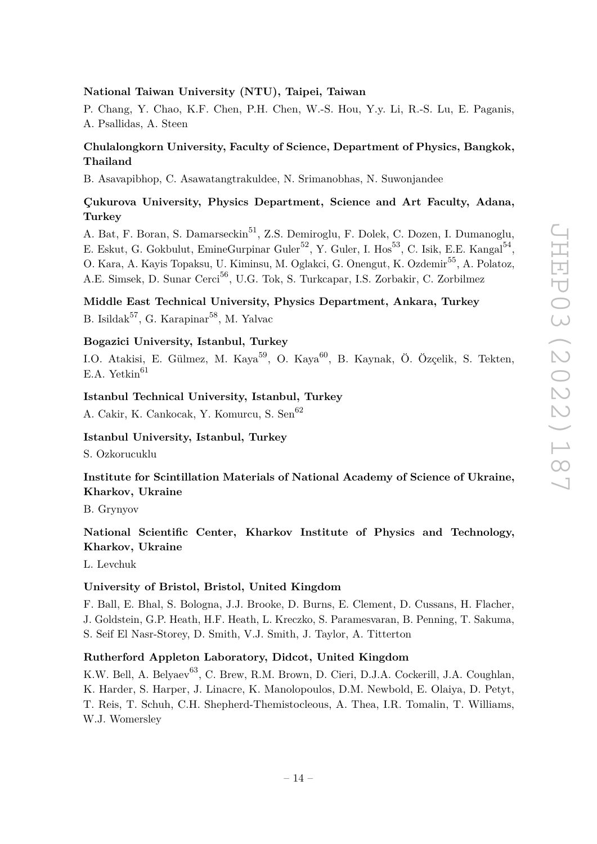### **National Taiwan University (NTU), Taipei, Taiwan**

P. Chang, Y. Chao, K.F. Chen, P.H. Chen, W.-S. Hou, Y.y. Li, R.-S. Lu, E. Paganis, A. Psallidas, A. Steen

# **Chulalongkorn University, Faculty of Science, Department of Physics, Bangkok, Thailand**

B. Asavapibhop, C. Asawatangtrakuldee, N. Srimanobhas, N. Suwonjandee

# **Çukurova University, Physics Department, Science and Art Faculty, Adana, Turkey**

A. Bat, F. Boran, S. Damarseckin<sup>51</sup>, Z.S. Demiroglu, F. Dolek, C. Dozen, I. Dumanoglu, E. Eskut, G. Gokbulut, EmineGurpinar Guler<sup>52</sup>, Y. Guler, I. Hos<sup>53</sup>, C. Isik, E.E. Kangal<sup>54</sup>, O. Kara, A. Kayis Topaksu, U. Kiminsu, M. Oglakci, G. Onengut, K. Ozdemir<sup>55</sup>, A. Polatoz, A.E. Simsek, D. Sunar Cerci<sup>56</sup>, U.G. Tok, S. Turkcapar, I.S. Zorbakir, C. Zorbilmez

### **Middle East Technical University, Physics Department, Ankara, Turkey**

B. Isildak<sup>57</sup>, G. Karapinar<sup>58</sup>, M. Yalvac

### **Bogazici University, Istanbul, Turkey**

I.O. Atakisi, E. Gülmez, M. Kaya<sup>59</sup>, O. Kaya<sup>60</sup>, B. Kaynak, Ö. Özçelik, S. Tekten, E.A. Yetkin<sup>61</sup>

### **Istanbul Technical University, Istanbul, Turkey**

A. Cakir, K. Cankocak, Y. Komurcu, S. Sen<sup>62</sup>

### **Istanbul University, Istanbul, Turkey**

S. Ozkorucuklu

# **Institute for Scintillation Materials of National Academy of Science of Ukraine, Kharkov, Ukraine**

B. Grynyov

# **National Scientific Center, Kharkov Institute of Physics and Technology, Kharkov, Ukraine**

L. Levchuk

### **University of Bristol, Bristol, United Kingdom**

F. Ball, E. Bhal, S. Bologna, J.J. Brooke, D. Burns, E. Clement, D. Cussans, H. Flacher, J. Goldstein, G.P. Heath, H.F. Heath, L. Kreczko, S. Paramesvaran, B. Penning, T. Sakuma, S. Seif El Nasr-Storey, D. Smith, V.J. Smith, J. Taylor, A. Titterton

### **Rutherford Appleton Laboratory, Didcot, United Kingdom**

K.W. Bell, A. Belyaev<sup>63</sup>, C. Brew, R.M. Brown, D. Cieri, D.J.A. Cockerill, J.A. Coughlan, K. Harder, S. Harper, J. Linacre, K. Manolopoulos, D.M. Newbold, E. Olaiya, D. Petyt, T. Reis, T. Schuh, C.H. Shepherd-Themistocleous, A. Thea, I.R. Tomalin, T. Williams, W.J. Womersley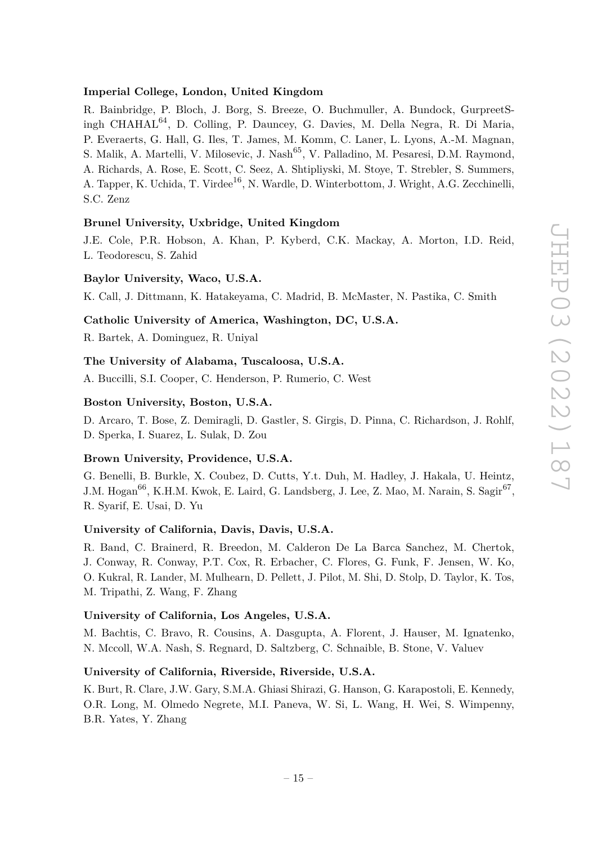### **Imperial College, London, United Kingdom**

R. Bainbridge, P. Bloch, J. Borg, S. Breeze, O. Buchmuller, A. Bundock, GurpreetSingh CHAHAL64, D. Colling, P. Dauncey, G. Davies, M. Della Negra, R. Di Maria, P. Everaerts, G. Hall, G. Iles, T. James, M. Komm, C. Laner, L. Lyons, A.-M. Magnan, S. Malik, A. Martelli, V. Milosevic, J. Nash<sup>65</sup>, V. Palladino, M. Pesaresi, D.M. Raymond, A. Richards, A. Rose, E. Scott, C. Seez, A. Shtipliyski, M. Stoye, T. Strebler, S. Summers, A. Tapper, K. Uchida, T. Virdee<sup>16</sup>, N. Wardle, D. Winterbottom, J. Wright, A.G. Zecchinelli, S.C. Zenz

#### **Brunel University, Uxbridge, United Kingdom**

J.E. Cole, P.R. Hobson, A. Khan, P. Kyberd, C.K. Mackay, A. Morton, I.D. Reid, L. Teodorescu, S. Zahid

### **Baylor University, Waco, U.S.A.**

K. Call, J. Dittmann, K. Hatakeyama, C. Madrid, B. McMaster, N. Pastika, C. Smith

#### **Catholic University of America, Washington, DC, U.S.A.**

R. Bartek, A. Dominguez, R. Uniyal

### **The University of Alabama, Tuscaloosa, U.S.A.**

A. Buccilli, S.I. Cooper, C. Henderson, P. Rumerio, C. West

#### **Boston University, Boston, U.S.A.**

D. Arcaro, T. Bose, Z. Demiragli, D. Gastler, S. Girgis, D. Pinna, C. Richardson, J. Rohlf, D. Sperka, I. Suarez, L. Sulak, D. Zou

### **Brown University, Providence, U.S.A.**

G. Benelli, B. Burkle, X. Coubez, D. Cutts, Y.t. Duh, M. Hadley, J. Hakala, U. Heintz, J.M. Hogan<sup>66</sup>, K.H.M. Kwok, E. Laird, G. Landsberg, J. Lee, Z. Mao, M. Narain, S. Sagir<sup>67</sup>, R. Syarif, E. Usai, D. Yu

#### **University of California, Davis, Davis, U.S.A.**

R. Band, C. Brainerd, R. Breedon, M. Calderon De La Barca Sanchez, M. Chertok, J. Conway, R. Conway, P.T. Cox, R. Erbacher, C. Flores, G. Funk, F. Jensen, W. Ko, O. Kukral, R. Lander, M. Mulhearn, D. Pellett, J. Pilot, M. Shi, D. Stolp, D. Taylor, K. Tos, M. Tripathi, Z. Wang, F. Zhang

#### **University of California, Los Angeles, U.S.A.**

M. Bachtis, C. Bravo, R. Cousins, A. Dasgupta, A. Florent, J. Hauser, M. Ignatenko, N. Mccoll, W.A. Nash, S. Regnard, D. Saltzberg, C. Schnaible, B. Stone, V. Valuev

#### **University of California, Riverside, Riverside, U.S.A.**

K. Burt, R. Clare, J.W. Gary, S.M.A. Ghiasi Shirazi, G. Hanson, G. Karapostoli, E. Kennedy, O.R. Long, M. Olmedo Negrete, M.I. Paneva, W. Si, L. Wang, H. Wei, S. Wimpenny, B.R. Yates, Y. Zhang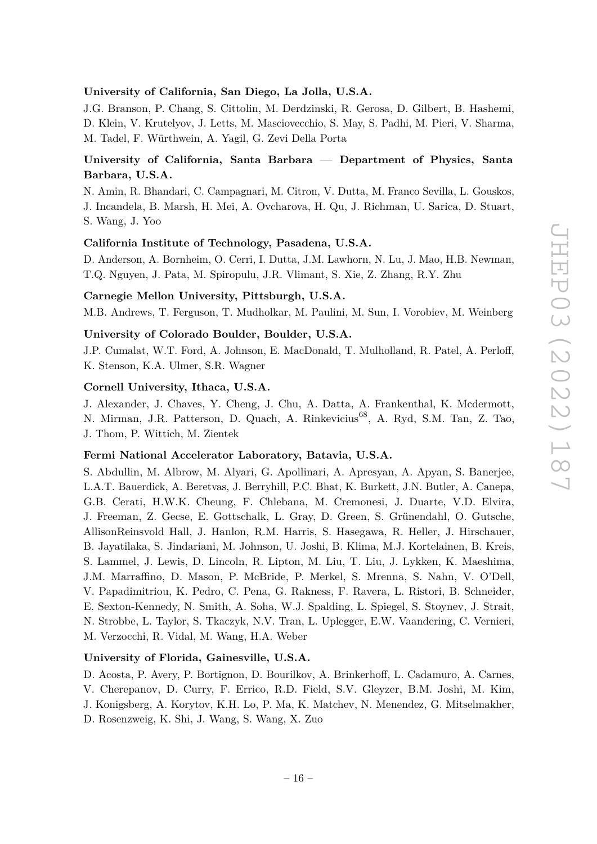### **University of California, San Diego, La Jolla, U.S.A.**

J.G. Branson, P. Chang, S. Cittolin, M. Derdzinski, R. Gerosa, D. Gilbert, B. Hashemi, D. Klein, V. Krutelyov, J. Letts, M. Masciovecchio, S. May, S. Padhi, M. Pieri, V. Sharma, M. Tadel, F. Würthwein, A. Yagil, G. Zevi Della Porta

# **University of California, Santa Barbara — Department of Physics, Santa Barbara, U.S.A.**

N. Amin, R. Bhandari, C. Campagnari, M. Citron, V. Dutta, M. Franco Sevilla, L. Gouskos, J. Incandela, B. Marsh, H. Mei, A. Ovcharova, H. Qu, J. Richman, U. Sarica, D. Stuart, S. Wang, J. Yoo

### **California Institute of Technology, Pasadena, U.S.A.**

D. Anderson, A. Bornheim, O. Cerri, I. Dutta, J.M. Lawhorn, N. Lu, J. Mao, H.B. Newman, T.Q. Nguyen, J. Pata, M. Spiropulu, J.R. Vlimant, S. Xie, Z. Zhang, R.Y. Zhu

#### **Carnegie Mellon University, Pittsburgh, U.S.A.**

M.B. Andrews, T. Ferguson, T. Mudholkar, M. Paulini, M. Sun, I. Vorobiev, M. Weinberg

### **University of Colorado Boulder, Boulder, U.S.A.**

J.P. Cumalat, W.T. Ford, A. Johnson, E. MacDonald, T. Mulholland, R. Patel, A. Perloff, K. Stenson, K.A. Ulmer, S.R. Wagner

### **Cornell University, Ithaca, U.S.A.**

J. Alexander, J. Chaves, Y. Cheng, J. Chu, A. Datta, A. Frankenthal, K. Mcdermott, N. Mirman, J.R. Patterson, D. Quach, A. Rinkevicius<sup>68</sup>, A. Ryd, S.M. Tan, Z. Tao, J. Thom, P. Wittich, M. Zientek

### **Fermi National Accelerator Laboratory, Batavia, U.S.A.**

S. Abdullin, M. Albrow, M. Alyari, G. Apollinari, A. Apresyan, A. Apyan, S. Banerjee, L.A.T. Bauerdick, A. Beretvas, J. Berryhill, P.C. Bhat, K. Burkett, J.N. Butler, A. Canepa, G.B. Cerati, H.W.K. Cheung, F. Chlebana, M. Cremonesi, J. Duarte, V.D. Elvira, J. Freeman, Z. Gecse, E. Gottschalk, L. Gray, D. Green, S. Grünendahl, O. Gutsche, AllisonReinsvold Hall, J. Hanlon, R.M. Harris, S. Hasegawa, R. Heller, J. Hirschauer, B. Jayatilaka, S. Jindariani, M. Johnson, U. Joshi, B. Klima, M.J. Kortelainen, B. Kreis, S. Lammel, J. Lewis, D. Lincoln, R. Lipton, M. Liu, T. Liu, J. Lykken, K. Maeshima, J.M. Marraffino, D. Mason, P. McBride, P. Merkel, S. Mrenna, S. Nahn, V. O'Dell, V. Papadimitriou, K. Pedro, C. Pena, G. Rakness, F. Ravera, L. Ristori, B. Schneider, E. Sexton-Kennedy, N. Smith, A. Soha, W.J. Spalding, L. Spiegel, S. Stoynev, J. Strait, N. Strobbe, L. Taylor, S. Tkaczyk, N.V. Tran, L. Uplegger, E.W. Vaandering, C. Vernieri, M. Verzocchi, R. Vidal, M. Wang, H.A. Weber

#### **University of Florida, Gainesville, U.S.A.**

D. Acosta, P. Avery, P. Bortignon, D. Bourilkov, A. Brinkerhoff, L. Cadamuro, A. Carnes, V. Cherepanov, D. Curry, F. Errico, R.D. Field, S.V. Gleyzer, B.M. Joshi, M. Kim, J. Konigsberg, A. Korytov, K.H. Lo, P. Ma, K. Matchev, N. Menendez, G. Mitselmakher, D. Rosenzweig, K. Shi, J. Wang, S. Wang, X. Zuo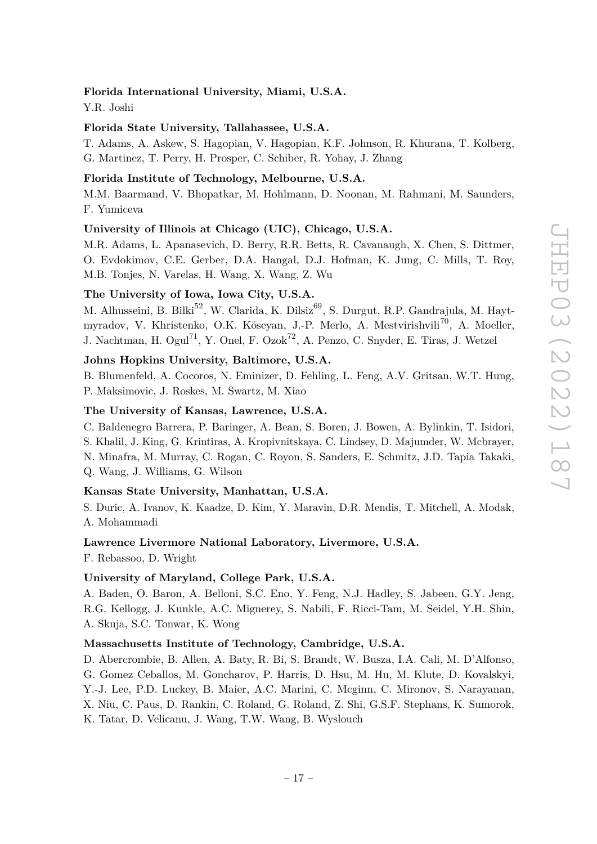### **Florida International University, Miami, U.S.A.**

Y.R. Joshi

#### **Florida State University, Tallahassee, U.S.A.**

T. Adams, A. Askew, S. Hagopian, V. Hagopian, K.F. Johnson, R. Khurana, T. Kolberg, G. Martinez, T. Perry, H. Prosper, C. Schiber, R. Yohay, J. Zhang

#### **Florida Institute of Technology, Melbourne, U.S.A.**

M.M. Baarmand, V. Bhopatkar, M. Hohlmann, D. Noonan, M. Rahmani, M. Saunders, F. Yumiceva

### **University of Illinois at Chicago (UIC), Chicago, U.S.A.**

M.R. Adams, L. Apanasevich, D. Berry, R.R. Betts, R. Cavanaugh, X. Chen, S. Dittmer, O. Evdokimov, C.E. Gerber, D.A. Hangal, D.J. Hofman, K. Jung, C. Mills, T. Roy, M.B. Tonjes, N. Varelas, H. Wang, X. Wang, Z. Wu

### **The University of Iowa, Iowa City, U.S.A.**

M. Alhusseini, B. Bilki<sup>52</sup>, W. Clarida, K. Dilsiz<sup>69</sup>, S. Durgut, R.P. Gandrajula, M. Haytmyradov, V. Khristenko, O.K. Köseyan, J.-P. Merlo, A. Mestvirishvili<sup>70</sup>, A. Moeller, J. Nachtman, H. Ogul71, Y. Onel, F. Ozok72, A. Penzo, C. Snyder, E. Tiras, J. Wetzel

### **Johns Hopkins University, Baltimore, U.S.A.**

B. Blumenfeld, A. Cocoros, N. Eminizer, D. Fehling, L. Feng, A.V. Gritsan, W.T. Hung, P. Maksimovic, J. Roskes, M. Swartz, M. Xiao

### **The University of Kansas, Lawrence, U.S.A.**

C. Baldenegro Barrera, P. Baringer, A. Bean, S. Boren, J. Bowen, A. Bylinkin, T. Isidori, S. Khalil, J. King, G. Krintiras, A. Kropivnitskaya, C. Lindsey, D. Majumder, W. Mcbrayer, N. Minafra, M. Murray, C. Rogan, C. Royon, S. Sanders, E. Schmitz, J.D. Tapia Takaki, Q. Wang, J. Williams, G. Wilson

#### **Kansas State University, Manhattan, U.S.A.**

S. Duric, A. Ivanov, K. Kaadze, D. Kim, Y. Maravin, D.R. Mendis, T. Mitchell, A. Modak, A. Mohammadi

### **Lawrence Livermore National Laboratory, Livermore, U.S.A.**

F. Rebassoo, D. Wright

#### **University of Maryland, College Park, U.S.A.**

A. Baden, O. Baron, A. Belloni, S.C. Eno, Y. Feng, N.J. Hadley, S. Jabeen, G.Y. Jeng, R.G. Kellogg, J. Kunkle, A.C. Mignerey, S. Nabili, F. Ricci-Tam, M. Seidel, Y.H. Shin, A. Skuja, S.C. Tonwar, K. Wong

### **Massachusetts Institute of Technology, Cambridge, U.S.A.**

D. Abercrombie, B. Allen, A. Baty, R. Bi, S. Brandt, W. Busza, I.A. Cali, M. D'Alfonso, G. Gomez Ceballos, M. Goncharov, P. Harris, D. Hsu, M. Hu, M. Klute, D. Kovalskyi, Y.-J. Lee, P.D. Luckey, B. Maier, A.C. Marini, C. Mcginn, C. Mironov, S. Narayanan, X. Niu, C. Paus, D. Rankin, C. Roland, G. Roland, Z. Shi, G.S.F. Stephans, K. Sumorok, K. Tatar, D. Velicanu, J. Wang, T.W. Wang, B. Wyslouch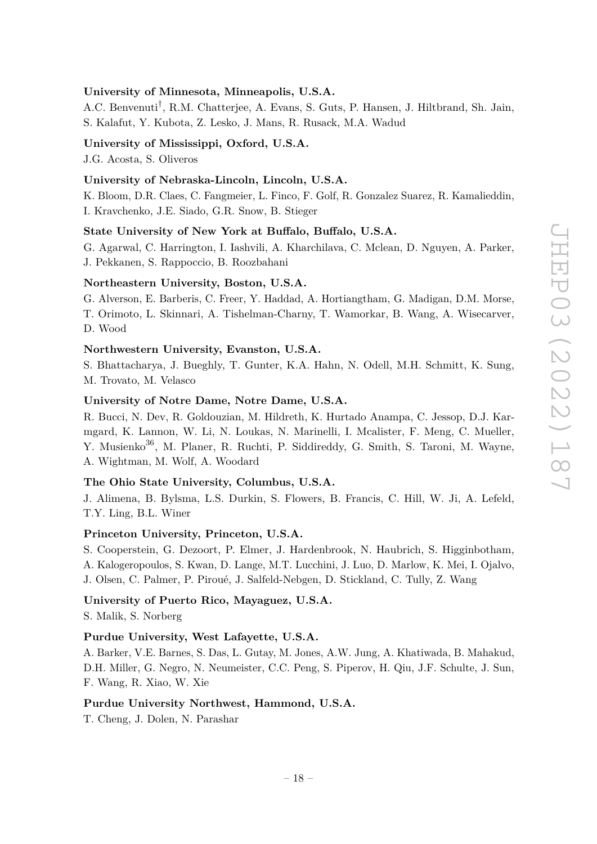### **University of Minnesota, Minneapolis, U.S.A.**

A.C. Benvenuti† , R.M. Chatterjee, A. Evans, S. Guts, P. Hansen, J. Hiltbrand, Sh. Jain, S. Kalafut, Y. Kubota, Z. Lesko, J. Mans, R. Rusack, M.A. Wadud

#### **University of Mississippi, Oxford, U.S.A.**

J.G. Acosta, S. Oliveros

### **University of Nebraska-Lincoln, Lincoln, U.S.A.**

K. Bloom, D.R. Claes, C. Fangmeier, L. Finco, F. Golf, R. Gonzalez Suarez, R. Kamalieddin, I. Kravchenko, J.E. Siado, G.R. Snow, B. Stieger

#### **State University of New York at Buffalo, Buffalo, U.S.A.**

G. Agarwal, C. Harrington, I. Iashvili, A. Kharchilava, C. Mclean, D. Nguyen, A. Parker, J. Pekkanen, S. Rappoccio, B. Roozbahani

### **Northeastern University, Boston, U.S.A.**

G. Alverson, E. Barberis, C. Freer, Y. Haddad, A. Hortiangtham, G. Madigan, D.M. Morse, T. Orimoto, L. Skinnari, A. Tishelman-Charny, T. Wamorkar, B. Wang, A. Wisecarver, D. Wood

### **Northwestern University, Evanston, U.S.A.**

S. Bhattacharya, J. Bueghly, T. Gunter, K.A. Hahn, N. Odell, M.H. Schmitt, K. Sung, M. Trovato, M. Velasco

### **University of Notre Dame, Notre Dame, U.S.A.**

R. Bucci, N. Dev, R. Goldouzian, M. Hildreth, K. Hurtado Anampa, C. Jessop, D.J. Karmgard, K. Lannon, W. Li, N. Loukas, N. Marinelli, I. Mcalister, F. Meng, C. Mueller, Y. Musienko<sup>36</sup>, M. Planer, R. Ruchti, P. Siddireddy, G. Smith, S. Taroni, M. Wayne, A. Wightman, M. Wolf, A. Woodard

#### **The Ohio State University, Columbus, U.S.A.**

J. Alimena, B. Bylsma, L.S. Durkin, S. Flowers, B. Francis, C. Hill, W. Ji, A. Lefeld, T.Y. Ling, B.L. Winer

#### **Princeton University, Princeton, U.S.A.**

S. Cooperstein, G. Dezoort, P. Elmer, J. Hardenbrook, N. Haubrich, S. Higginbotham, A. Kalogeropoulos, S. Kwan, D. Lange, M.T. Lucchini, J. Luo, D. Marlow, K. Mei, I. Ojalvo, J. Olsen, C. Palmer, P. Piroué, J. Salfeld-Nebgen, D. Stickland, C. Tully, Z. Wang

### **University of Puerto Rico, Mayaguez, U.S.A.**

S. Malik, S. Norberg

### **Purdue University, West Lafayette, U.S.A.**

A. Barker, V.E. Barnes, S. Das, L. Gutay, M. Jones, A.W. Jung, A. Khatiwada, B. Mahakud, D.H. Miller, G. Negro, N. Neumeister, C.C. Peng, S. Piperov, H. Qiu, J.F. Schulte, J. Sun, F. Wang, R. Xiao, W. Xie

### **Purdue University Northwest, Hammond, U.S.A.**

T. Cheng, J. Dolen, N. Parashar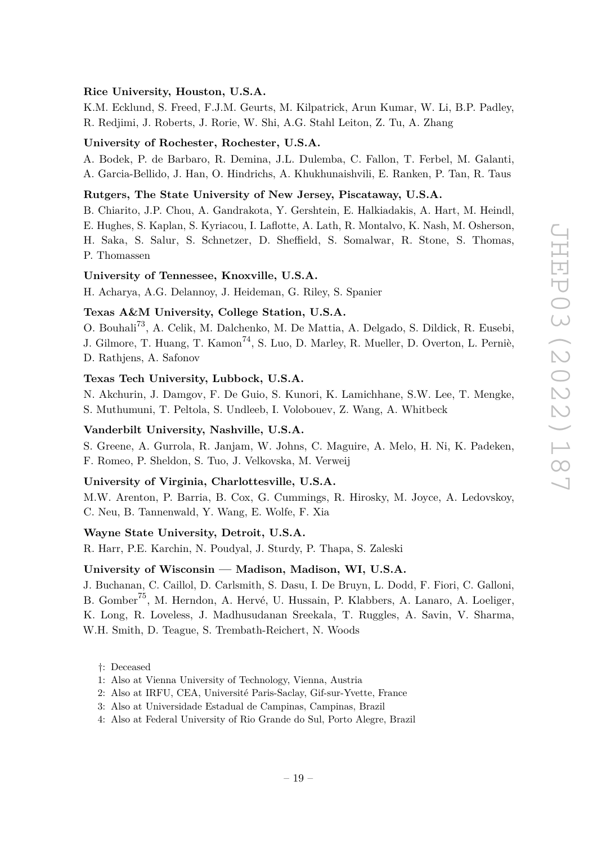#### **Rice University, Houston, U.S.A.**

K.M. Ecklund, S. Freed, F.J.M. Geurts, M. Kilpatrick, Arun Kumar, W. Li, B.P. Padley, R. Redjimi, J. Roberts, J. Rorie, W. Shi, A.G. Stahl Leiton, Z. Tu, A. Zhang

#### **University of Rochester, Rochester, U.S.A.**

A. Bodek, P. de Barbaro, R. Demina, J.L. Dulemba, C. Fallon, T. Ferbel, M. Galanti, A. Garcia-Bellido, J. Han, O. Hindrichs, A. Khukhunaishvili, E. Ranken, P. Tan, R. Taus

#### **Rutgers, The State University of New Jersey, Piscataway, U.S.A.**

B. Chiarito, J.P. Chou, A. Gandrakota, Y. Gershtein, E. Halkiadakis, A. Hart, M. Heindl, E. Hughes, S. Kaplan, S. Kyriacou, I. Laflotte, A. Lath, R. Montalvo, K. Nash, M. Osherson, H. Saka, S. Salur, S. Schnetzer, D. Sheffield, S. Somalwar, R. Stone, S. Thomas, P. Thomassen

#### **University of Tennessee, Knoxville, U.S.A.**

H. Acharya, A.G. Delannoy, J. Heideman, G. Riley, S. Spanier

### **Texas A&M University, College Station, U.S.A.**

O. Bouhali73, A. Celik, M. Dalchenko, M. De Mattia, A. Delgado, S. Dildick, R. Eusebi, J. Gilmore, T. Huang, T. Kamon<sup>74</sup>, S. Luo, D. Marley, R. Mueller, D. Overton, L. Perniè, D. Rathjens, A. Safonov

#### **Texas Tech University, Lubbock, U.S.A.**

N. Akchurin, J. Damgov, F. De Guio, S. Kunori, K. Lamichhane, S.W. Lee, T. Mengke, S. Muthumuni, T. Peltola, S. Undleeb, I. Volobouev, Z. Wang, A. Whitbeck

#### **Vanderbilt University, Nashville, U.S.A.**

S. Greene, A. Gurrola, R. Janjam, W. Johns, C. Maguire, A. Melo, H. Ni, K. Padeken, F. Romeo, P. Sheldon, S. Tuo, J. Velkovska, M. Verweij

### **University of Virginia, Charlottesville, U.S.A.**

M.W. Arenton, P. Barria, B. Cox, G. Cummings, R. Hirosky, M. Joyce, A. Ledovskoy, C. Neu, B. Tannenwald, Y. Wang, E. Wolfe, F. Xia

### **Wayne State University, Detroit, U.S.A.**

R. Harr, P.E. Karchin, N. Poudyal, J. Sturdy, P. Thapa, S. Zaleski

#### **University of Wisconsin — Madison, Madison, WI, U.S.A.**

J. Buchanan, C. Caillol, D. Carlsmith, S. Dasu, I. De Bruyn, L. Dodd, F. Fiori, C. Galloni,

B. Gomber<sup>75</sup>, M. Herndon, A. Hervé, U. Hussain, P. Klabbers, A. Lanaro, A. Loeliger,

K. Long, R. Loveless, J. Madhusudanan Sreekala, T. Ruggles, A. Savin, V. Sharma,

W.H. Smith, D. Teague, S. Trembath-Reichert, N. Woods

- †: Deceased
- 1: Also at Vienna University of Technology, Vienna, Austria
- 2: Also at IRFU, CEA, Université Paris-Saclay, Gif-sur-Yvette, France
- 3: Also at Universidade Estadual de Campinas, Campinas, Brazil
- 4: Also at Federal University of Rio Grande do Sul, Porto Alegre, Brazil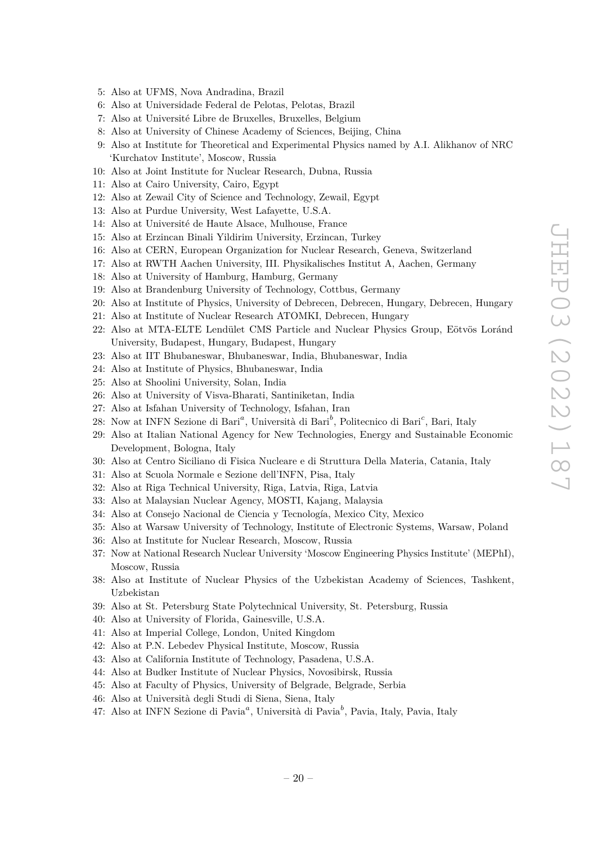- 5: Also at UFMS, Nova Andradina, Brazil
- 6: Also at Universidade Federal de Pelotas, Pelotas, Brazil
- 7: Also at Université Libre de Bruxelles, Bruxelles, Belgium
- 8: Also at University of Chinese Academy of Sciences, Beijing, China
- 9: Also at Institute for Theoretical and Experimental Physics named by A.I. Alikhanov of NRC 'Kurchatov Institute', Moscow, Russia
- 10: Also at Joint Institute for Nuclear Research, Dubna, Russia
- 11: Also at Cairo University, Cairo, Egypt
- 12: Also at Zewail City of Science and Technology, Zewail, Egypt
- 13: Also at Purdue University, West Lafayette, U.S.A.
- 14: Also at Université de Haute Alsace, Mulhouse, France
- 15: Also at Erzincan Binali Yildirim University, Erzincan, Turkey
- 16: Also at CERN, European Organization for Nuclear Research, Geneva, Switzerland
- 17: Also at RWTH Aachen University, III. Physikalisches Institut A, Aachen, Germany
- 18: Also at University of Hamburg, Hamburg, Germany
- 19: Also at Brandenburg University of Technology, Cottbus, Germany
- 20: Also at Institute of Physics, University of Debrecen, Debrecen, Hungary, Debrecen, Hungary
- 21: Also at Institute of Nuclear Research ATOMKI, Debrecen, Hungary
- 22: Also at MTA-ELTE Lendület CMS Particle and Nuclear Physics Group, Eötvös Loránd University, Budapest, Hungary, Budapest, Hungary
- 23: Also at IIT Bhubaneswar, Bhubaneswar, India, Bhubaneswar, India
- 24: Also at Institute of Physics, Bhubaneswar, India
- 25: Also at Shoolini University, Solan, India
- 26: Also at University of Visva-Bharati, Santiniketan, India
- 27: Also at Isfahan University of Technology, Isfahan, Iran
- 28: Now at INFN Sezione di Bari<sup>a</sup>, Università di Bari<sup>b</sup>, Politecnico di Bari<sup>c</sup>, Bari, Italy
- 29: Also at Italian National Agency for New Technologies, Energy and Sustainable Economic Development, Bologna, Italy
- 30: Also at Centro Siciliano di Fisica Nucleare e di Struttura Della Materia, Catania, Italy
- 31: Also at Scuola Normale e Sezione dell'INFN, Pisa, Italy
- 32: Also at Riga Technical University, Riga, Latvia, Riga, Latvia
- 33: Also at Malaysian Nuclear Agency, MOSTI, Kajang, Malaysia
- 34: Also at Consejo Nacional de Ciencia y Tecnología, Mexico City, Mexico
- 35: Also at Warsaw University of Technology, Institute of Electronic Systems, Warsaw, Poland
- 36: Also at Institute for Nuclear Research, Moscow, Russia
- 37: Now at National Research Nuclear University 'Moscow Engineering Physics Institute' (MEPhI), Moscow, Russia
- 38: Also at Institute of Nuclear Physics of the Uzbekistan Academy of Sciences, Tashkent, Uzbekistan
- 39: Also at St. Petersburg State Polytechnical University, St. Petersburg, Russia
- 40: Also at University of Florida, Gainesville, U.S.A.
- 41: Also at Imperial College, London, United Kingdom
- 42: Also at P.N. Lebedev Physical Institute, Moscow, Russia
- 43: Also at California Institute of Technology, Pasadena, U.S.A.
- 44: Also at Budker Institute of Nuclear Physics, Novosibirsk, Russia
- 45: Also at Faculty of Physics, University of Belgrade, Belgrade, Serbia
- 46: Also at Università degli Studi di Siena, Siena, Italy
- 47: Also at INFN Sezione di Pavia*<sup>a</sup>* , Università di Pavia*<sup>b</sup>* , Pavia, Italy, Pavia, Italy